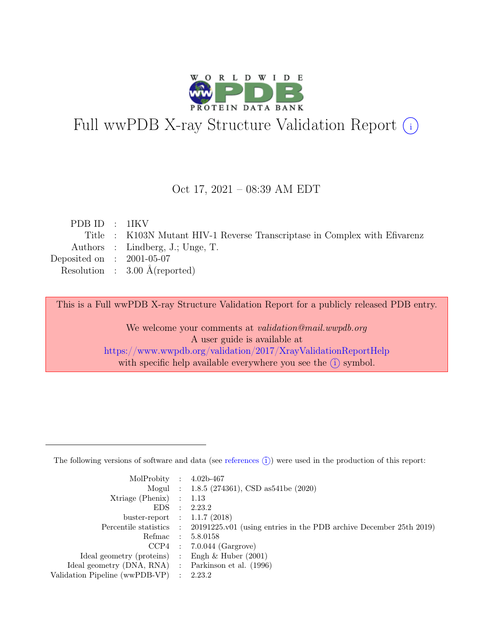

# Full wwPDB X-ray Structure Validation Report  $(i)$

#### Oct 17, 2021 – 08:39 AM EDT

| PDBID : 1IKV                |                                                                            |
|-----------------------------|----------------------------------------------------------------------------|
|                             | Title : K103N Mutant HIV-1 Reverse Transcriptase in Complex with Efivarenz |
|                             | Authors : Lindberg, J.; Unge, T.                                           |
| Deposited on : $2001-05-07$ |                                                                            |
|                             | Resolution : $3.00 \text{ Å}$ (reported)                                   |
|                             |                                                                            |

This is a Full wwPDB X-ray Structure Validation Report for a publicly released PDB entry.

We welcome your comments at validation@mail.wwpdb.org A user guide is available at <https://www.wwpdb.org/validation/2017/XrayValidationReportHelp> with specific help available everywhere you see the  $(i)$  symbol.

The following versions of software and data (see [references](https://www.wwpdb.org/validation/2017/XrayValidationReportHelp#references)  $(i)$ ) were used in the production of this report:

| MolProbity : $4.02b-467$                            |                                                                                            |
|-----------------------------------------------------|--------------------------------------------------------------------------------------------|
|                                                     | Mogul : $1.8.5$ (274361), CSD as 541be (2020)                                              |
| $Xtriangle (Phenix)$ : 1.13                         |                                                                                            |
|                                                     | EDS : 2.23.2                                                                               |
| buster-report : $1.1.7$ (2018)                      |                                                                                            |
|                                                     | Percentile statistics : 20191225.v01 (using entries in the PDB archive December 25th 2019) |
|                                                     | Refmac : 5.8.0158                                                                          |
|                                                     | $CCP4$ : 7.0.044 (Gargrove)                                                                |
| Ideal geometry (proteins) : Engh $\&$ Huber (2001)  |                                                                                            |
| Ideal geometry (DNA, RNA) : Parkinson et al. (1996) |                                                                                            |
| Validation Pipeline (wwPDB-VP) : 2.23.2             |                                                                                            |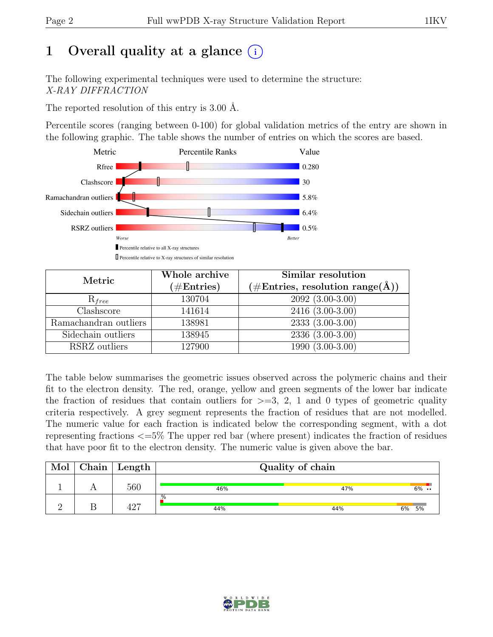# 1 Overall quality at a glance  $(i)$

The following experimental techniques were used to determine the structure: X-RAY DIFFRACTION

The reported resolution of this entry is 3.00 Å.

Percentile scores (ranging between 0-100) for global validation metrics of the entry are shown in the following graphic. The table shows the number of entries on which the scores are based.



| Metric                | Whole archive<br>$(\#Entries)$ | Similar resolution<br>$(\#\text{Entries}, \, \text{resolution range}(\text{\AA}))$ |
|-----------------------|--------------------------------|------------------------------------------------------------------------------------|
| $R_{free}$            | 130704                         | $2092(3.00-3.00)$                                                                  |
| Clashscore            | 141614                         | 2416 (3.00-3.00)                                                                   |
| Ramachandran outliers | 138981                         | $2333(3.00-3.00)$                                                                  |
| Sidechain outliers    | 138945                         | $2336(3.00-3.00)$                                                                  |
| RSRZ outliers         | 127900                         | $1990(3.00-3.00)$                                                                  |

The table below summarises the geometric issues observed across the polymeric chains and their fit to the electron density. The red, orange, yellow and green segments of the lower bar indicate the fraction of residues that contain outliers for  $\geq$ =3, 2, 1 and 0 types of geometric quality criteria respectively. A grey segment represents the fraction of residues that are not modelled. The numeric value for each fraction is indicated below the corresponding segment, with a dot representing fractions <=5% The upper red bar (where present) indicates the fraction of residues that have poor fit to the electron density. The numeric value is given above the bar.

| Mol | ${\rm Chain}$ | Length | Quality of chain |     |          |  |  |
|-----|---------------|--------|------------------|-----|----------|--|--|
|     |               | 560    | 46%              | 47% | $6\%$    |  |  |
|     |               | 197    | .%<br>44%        | 44% | 6%<br>5% |  |  |

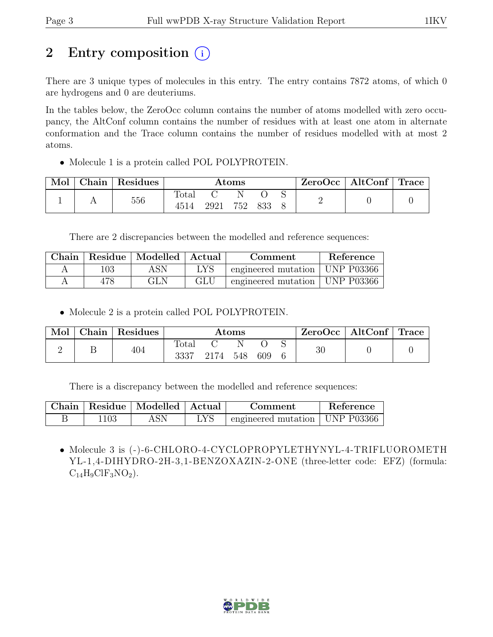# 2 Entry composition (i)

There are 3 unique types of molecules in this entry. The entry contains 7872 atoms, of which 0 are hydrogens and 0 are deuteriums.

In the tables below, the ZeroOcc column contains the number of atoms modelled with zero occupancy, the AltConf column contains the number of residues with at least one atom in alternate conformation and the Trace column contains the number of residues modelled with at most 2 atoms.

• Molecule 1 is a protein called POL POLYPROTEIN.

| Mol | Chain | Residues | Atoms                |      |     |     | ZeroOcc | $\vert$ AltConf $\vert$ Trace |  |  |
|-----|-------|----------|----------------------|------|-----|-----|---------|-------------------------------|--|--|
|     |       | 556      | <b>Total</b><br>4514 | 2921 | 752 | 833 |         |                               |  |  |

There are 2 discrepancies between the modelled and reference sequences:

|     | Chain   Residue   Modelled   Actual |     | Comment                          | Reference |
|-----|-------------------------------------|-----|----------------------------------|-----------|
| 103 | ASN                                 | LYS | engineered mutation   UNP P03366 |           |
| 478 | GLN                                 | GLU | engineered mutation   UNP P03366 |           |

• Molecule 2 is a protein called POL POLYPROTEIN.

| Mol | Chain | $\perp$ Residues | $\rm{Atoms}$  |      |       | $\text{ZeroOcc} \mid \text{AltConf} \mid \text{Trace}$ |  |    |  |
|-----|-------|------------------|---------------|------|-------|--------------------------------------------------------|--|----|--|
|     |       | 404              | Total<br>3337 | 2174 | - 548 | 609                                                    |  | 30 |  |

There is a discrepancy between the modelled and reference sequences:

|      | Chain   Residue   Modelled   Actual |     | Comment                                    | Reference |
|------|-------------------------------------|-----|--------------------------------------------|-----------|
| 1103 | ASN                                 | LYS | $\pm$ engineered mutation $\pm$ UNP P03366 |           |

• Molecule 3 is (-)-6-CHLORO-4-CYCLOPROPYLETHYNYL-4-TRIFLUOROMETH YL-1,4-DIHYDRO-2H-3,1-BENZOXAZIN-2-ONE (three-letter code: EFZ) (formula:  $C_{14}H_9ClF_3NO_2$ ).

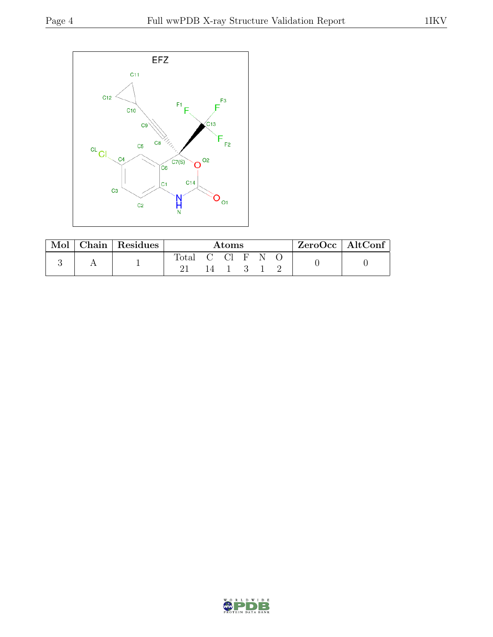

| Mol | Chain   Residues | $\rm{Atoms}$ |               |  |  | ZeroOcc   AltConf |  |  |
|-----|------------------|--------------|---------------|--|--|-------------------|--|--|
|     |                  | <b>Total</b> | $\Box$ $\Box$ |  |  |                   |  |  |

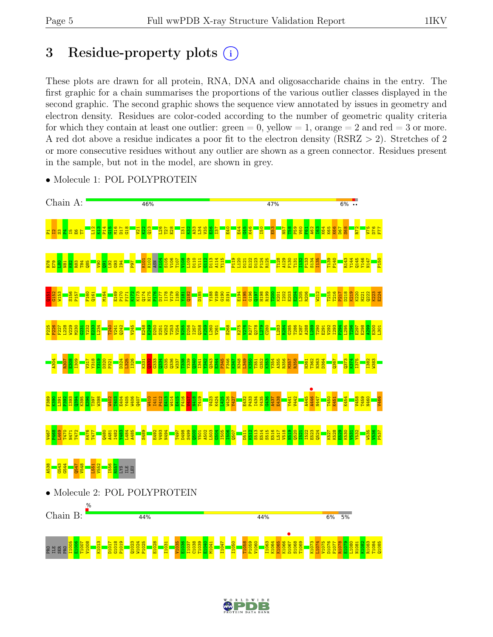# 3 Residue-property plots  $(i)$

These plots are drawn for all protein, RNA, DNA and oligosaccharide chains in the entry. The first graphic for a chain summarises the proportions of the various outlier classes displayed in the second graphic. The second graphic shows the sequence view annotated by issues in geometry and electron density. Residues are color-coded according to the number of geometric quality criteria for which they contain at least one outlier:  $green = 0$ , yellow  $= 1$ , orange  $= 2$  and red  $= 3$  or more. A red dot above a residue indicates a poor fit to the electron density (RSRZ > 2). Stretches of 2 or more consecutive residues without any outlier are shown as a green connector. Residues present in the sample, but not in the model, are shown in grey.



• Molecule 1: POL POLYPROTEIN

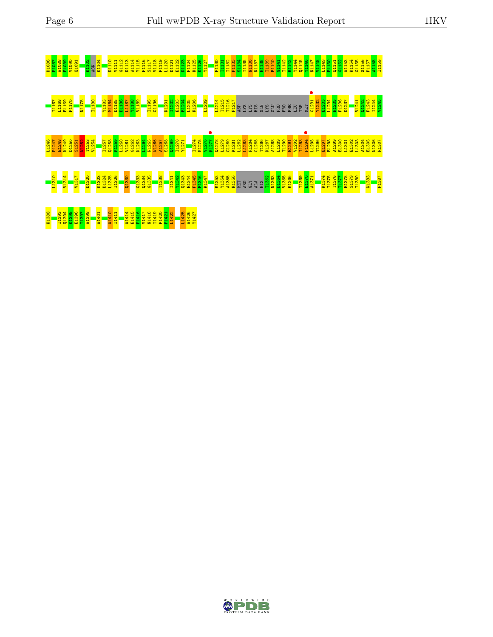

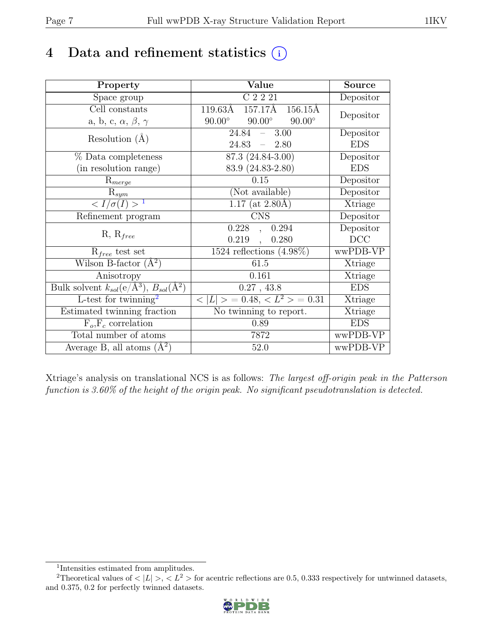# 4 Data and refinement statistics  $(i)$

| Property                                                         | Value                                           | <b>Source</b>  |
|------------------------------------------------------------------|-------------------------------------------------|----------------|
| Space group                                                      | C 2 2 21                                        | Depositor      |
| Cell constants                                                   | 157.17Å 156.15Å<br>119.63Å                      |                |
| a, b, c, $\alpha$ , $\beta$ , $\gamma$                           | $90.00^\circ$<br>$90.00^\circ$<br>$90.00^\circ$ | Depositor      |
| Resolution $(A)$                                                 | 24.84<br>$-3.00$                                | Depositor      |
|                                                                  | 24.83<br>$-2.80$                                | <b>EDS</b>     |
| $%$ Data completeness                                            | 87.3 (24.84-3.00)                               | Depositor      |
| (in resolution range)                                            | 83.9 (24.83-2.80)                               | <b>EDS</b>     |
| $\mathrm{R}_{merge}$                                             | 0.15                                            | Depositor      |
| $\mathrm{R}_{sym}$                                               | (Not available)                                 | Depositor      |
| $\langle I/\sigma(I) \rangle$ <sup>1</sup>                       | $1.17$ (at 2.80Å)                               | Xtriage        |
| Refinement program                                               | <b>CNS</b>                                      | Depositor      |
| $R, R_{free}$                                                    | 0.228<br>0.294<br>$\ddot{\phantom{a}}$          | Depositor      |
|                                                                  | 0.219<br>0.280<br>$\ddot{\phantom{a}}$          | DCC            |
| $R_{free}$ test set                                              | $1524$ reflections $(4.98\%)$                   | wwPDB-VP       |
| Wilson B-factor $(A^2)$                                          | 61.5                                            | Xtriage        |
| Anisotropy                                                       | 0.161                                           | Xtriage        |
| Bulk solvent $k_{sol}(\text{e}/\text{A}^3), B_{sol}(\text{A}^2)$ | 0.27, 43.8                                      | <b>EDS</b>     |
| L-test for $\overline{\text{twinning}}^2$                        | $< L >$ = 0.48, $< L2$ > = 0.31                 | <b>Xtriage</b> |
| Estimated twinning fraction                                      | $\overline{\text{No}}$ twinning to report.      | Xtriage        |
| $F_o, F_c$ correlation                                           | 0.89                                            | <b>EDS</b>     |
| Total number of atoms                                            | 7872                                            | wwPDB-VP       |
| Average B, all atoms $(A^2)$                                     | 52.0                                            | wwPDB-VP       |

Xtriage's analysis on translational NCS is as follows: The largest off-origin peak in the Patterson function is 3.60% of the height of the origin peak. No significant pseudotranslation is detected.

<sup>&</sup>lt;sup>2</sup>Theoretical values of  $\langle |L| \rangle$ ,  $\langle L^2 \rangle$  for acentric reflections are 0.5, 0.333 respectively for untwinned datasets, and 0.375, 0.2 for perfectly twinned datasets.



<span id="page-6-1"></span><span id="page-6-0"></span><sup>1</sup> Intensities estimated from amplitudes.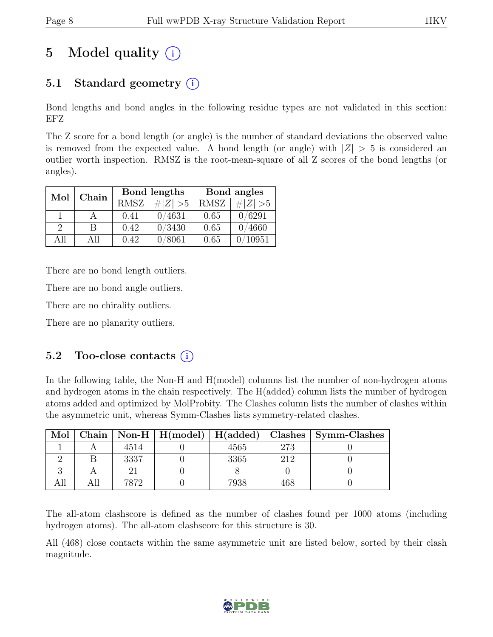# 5 Model quality  $(i)$

# 5.1 Standard geometry  $(i)$

Bond lengths and bond angles in the following residue types are not validated in this section: EFZ

The Z score for a bond length (or angle) is the number of standard deviations the observed value is removed from the expected value. A bond length (or angle) with  $|Z| > 5$  is considered an outlier worth inspection. RMSZ is the root-mean-square of all Z scores of the bond lengths (or angles).

| Mol      | Chain        |             | Bond lengths | Bond angles |             |  |
|----------|--------------|-------------|--------------|-------------|-------------|--|
|          |              | <b>RMSZ</b> | # $ Z  > 5$  | RMSZ        | # $ Z  > 5$ |  |
|          |              | 0.41        | 0/4631       | 0.65        | 0/6291      |  |
| $\Omega$ | <sub>B</sub> | 0.42        | 0/3430       | 0.65        | 0/4660      |  |
| All      | All          | 0.42        | 0/8061       | 0.65        | 10951       |  |

There are no bond length outliers.

There are no bond angle outliers.

There are no chirality outliers.

There are no planarity outliers.

### 5.2 Too-close contacts  $(i)$

In the following table, the Non-H and H(model) columns list the number of non-hydrogen atoms and hydrogen atoms in the chain respectively. The H(added) column lists the number of hydrogen atoms added and optimized by MolProbity. The Clashes column lists the number of clashes within the asymmetric unit, whereas Symm-Clashes lists symmetry-related clashes.

| Mol |      |      |     | Chain   Non-H   H(model)   H(added)   Clashes   Symm-Clashes |
|-----|------|------|-----|--------------------------------------------------------------|
|     | 4514 | 4565 | 273 |                                                              |
|     | 3337 | 3365 | 212 |                                                              |
|     |      |      |     |                                                              |
|     | 7872 | 7938 |     |                                                              |

The all-atom clashscore is defined as the number of clashes found per 1000 atoms (including hydrogen atoms). The all-atom clashscore for this structure is 30.

All (468) close contacts within the same asymmetric unit are listed below, sorted by their clash magnitude.

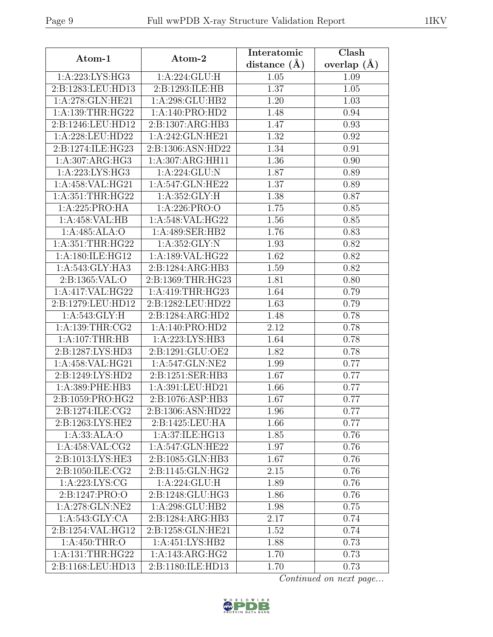| Atom-1                 | Atom-2            | Interatomic      | Clash           |
|------------------------|-------------------|------------------|-----------------|
|                        |                   | distance $(\AA)$ | overlap $(\AA)$ |
| 1:A:223:LYS:HG3        | 1:A:224:GLU:H     | 1.05             | 1.09            |
| 2:B:1283:LEU:HD13      | 2:B:1293:ILE:HB   | 1.37             | 1.05            |
| 1:A:278:GLN:HE21       | 1:A:298:GLU:HB2   | 1.20             | 1.03            |
| 1:A:139:THR:HG22       | 1:A:140:PRO:HD2   | 1.48             | 0.94            |
| 2:B:1246:LEU:HD12      | 2:B:1307:ARG:HB3  | 1.47             | 0.93            |
| 1:A:228:LEU:HD22       | 1:A:242:GLN:HE21  | 1.32             | 0.92            |
| 2:B:1274:ILE:HG23      | 2:B:1306:ASN:HD22 | 1.34             | 0.91            |
| 1:A:307:ARG:HG3        | 1:A:307:ARG:HH11  | 1.36             | 0.90            |
| 1: A:223: LYS: HG3     | 1:A:224:GLU:N     | 1.87             | 0.89            |
| 1:A:458:VAL:HG21       | 1:A:547:GLN:HE22  | 1.37             | 0.89            |
| 1:A:351:THR:HG22       | 1: A:352: GLY: H  | 1.38             | 0.87            |
| 1:A:225:PRO:HA         | 1:A:226:PRO:O     | 1.75             | 0.85            |
| 1:A:458:VAL:HB         | 1:A:548:VAL:HG22  | 1.56             | 0.85            |
| 1:A:485:ALA:O          | 1:A:489:SER:HB2   | 1.76             | 0.83            |
| 1:A:351:THR:HG22       | 1: A:352: GLY:N   | 1.93             | 0.82            |
| 1:A:180:ILE:HG12       | 1:A:189:VAL:HG22  | 1.62             | 0.82            |
| 1:A:543:GLY:HA3        | 2:B:1284:ARG:HB3  | 1.59             | 0.82            |
| 2:B:1365:VAL:O         | 2:B:1369:THR:HG23 | 1.81             | 0.80            |
| 1:A:417:VAL:HG22       | 1:A:419:THR:HG23  | 1.64             | 0.79            |
| 2:B:1279:LEU:HD12      | 2:B:1282:LEU:HD22 | 1.63             | 0.79            |
| 1:A:543:GLY:H          | 2:B:1284:ARG:HD2  | 1.48             | 0.78            |
| 1: A: 139: THR: CG2    | 1:A:140:PRO:HD2   | 2.12             | 0.78            |
| 1:A:107:THR:HB         | 1:A:223:LYS:HB3   | 1.64             | 0.78            |
| 2:B:1287:LYS:HD3       | 2:B:1291:GLU:OE2  | 1.82             | 0.78            |
| 1:A:458:VAL:HG21       | 1:A:547:GLN:NE2   | 1.99             | 0.77            |
| 2:B:1249:LYS:HD2       | 2:B:1251:SER:HB3  | 1.67             | 0.77            |
| 1:A:389:PHE:HB3        | 1:A:391:LEU:HD21  | 1.66             | 0.77            |
| 2:B:1059:PRO:HG2       | 2:B:1076:ASP:HB3  | 1.67             | 0.77            |
| 2:B:1274:ILE:CG2       | 2:B:1306:ASN:HD22 | 1.96             | 0.77            |
| 2:B:1263:LYS:HE2       | 2:B:1425:LEU:HA   | 1.66             | 0.77            |
| 1:A:33:ALA:O           | 1:A:37:ILE:HG13   | 1.85             | 0.76            |
| 1:A:458:VAL:CG2        | 1:A:547:GLN:HE22  | 1.97             | 0.76            |
| 2:B:1013:LYS:HE3       | 2:B:1085:GLN:HB3  | 1.67             | 0.76            |
| 2:B:1050:ILE:CG2       | 2:B:1145:GLN:HG2  | 2.15             | 0.76            |
| 1:A:223:LYS:CG         | 1:A:224:GLU:H     | 1.89             | 0.76            |
| 2:B:1247:PRO:O         | 2:B:1248:GLU:HG3  | 1.86             | 0.76            |
| 1:A:278:GLN:NE2        | 1:A:298:GLU:HB2   | 1.98             | 0.75            |
| 1:A:543:GLY:CA         | 2:B:1284:ARG:HB3  | 2.17             | 0.74            |
| 2:B:1254:VAL:HG12      | 2:B:1258:GLN:HE21 | $1.52\,$         | 0.74            |
| 1:A:450:THR:O          | 1:A:451:LYS:HB2   | 1.88             | 0.73            |
| 1: A: 131: THR: HG22   | 1:A:143:ARG:HG2   | 1.70             | 0.73            |
| 2:B:1168:LEU:HD13      | 2:B:1180:ILE:HD13 | 1.70             | 0.73            |
| Continued on next page |                   |                  |                 |

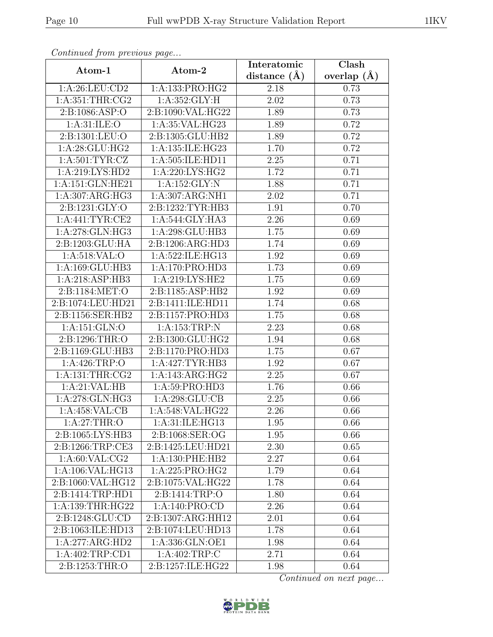|                      |                    | Interatomic    | Clash         |
|----------------------|--------------------|----------------|---------------|
| Atom-1               | Atom-2             | distance $(A)$ | overlap $(A)$ |
| 1:A:26:LEU:CD2       | 1:A:133:PRO:HG2    | 2.18           | 0.73          |
| 1: A:351:THR:CG2     | 1: A:352: GLY: H   | 2.02           | 0.73          |
| 2: B: 1086: ASP:     | 2:B:1090:VAL:HG22  | 1.89           | 0.73          |
| 1: A:31: ILE: O      | 1:A:35:VAL:HG23    | 1.89           | 0.72          |
| 2:B:1301:LEU:O       | 2:B:1305:GLU:HB2   | 1.89           | 0.72          |
| 1:A:28:GLU:HG2       | 1:A:135:ILE:HG23   | 1.70           | 0.72          |
| 1: A:501: TYR: CZ    | 1:A:505:ILE:HD11   | 2.25           | 0.71          |
| 1:A:219:LYS:HD2      | 1:A:220:LYS:HG2    | 1.72           | 0.71          |
| 1:A:151:GLN:HE21     | 1:A:152:GLY:N      | 1.88           | 0.71          |
| 1: A: 307: ARG: HG3  | 1:A:307:ARG:NH1    | 2.02           | 0.71          |
| 2:B:1231:GLY:O       | 2:B:1232:TYR:HB3   | 1.91           | 0.70          |
| 1: A:441:TYR:CE2     | 1: A:544: GLY:HA3  | 2.26           | 0.69          |
| 1:A:278:GLN:HG3      | 1:A:298:GLU:HB3    | 1.75           | 0.69          |
| 2:B:1203:GLU:HA      | 2:B:1206:ARG:HD3   | 1.74           | 0.69          |
| 1: A:518: VAL:O      | 1:A:522:ILE:HG13   | 1.92           | 0.69          |
| 1:A:169:GLU:HB3      | 1:A:170:PRO:HD3    | 1.73           | 0.69          |
| 1:A:218:ASP:HB3      | 1: A:219: LYS: HE2 | 1.75           | 0.69          |
| 2:B:1184:MET:O       | 2:B:1185:ASP:HB2   | 1.92           | 0.69          |
| 2:B:1074:LEU:HD21    | 2:B:1411:ILE:HD11  | 1.74           | 0.68          |
| 2:B:1156:SER:HB2     | 2:B:1157:PRO:HD3   | 1.75           | 0.68          |
| 1:A:151:GLN:O        | 1: A: 153: TRP:N   | 2.23           | 0.68          |
| 2:B:1296:THR:O       | 2:B:1300:GLU:HG2   | 1.94           | 0.68          |
| 2:B:1169:GLU:HB3     | 2:B:1170:PRO:HD3   | 1.75           | 0.67          |
| 1:A:426:TRP:O        | 1:A:427:TYR:HB3    | 1.92           | 0.67          |
| $1:$ A:131:THR:CG2   | 1:A:143:ARG:HG2    | 2.25           | 0.67          |
| 1:A:21:VAL:HB        | 1:A:59:PRO:HD3     | 1.76           | 0.66          |
| 1:A:278:GLN:HG3      | 1: A:298: GLU:CB   | 2.25           | 0.66          |
| 1:A:458:VAL:CB       | 1:A:548:VAL:HG22   | 2.26           | 0.66          |
| 1: A:27:THR:O        | 1:A:31:ILE:HG13    | 1.95           | 0.66          |
| 2:B:1065:LYS:HB3     | 2:B:1068:SER:OG    | 1.95           | 0.66          |
| 2:B:1266:TRP:CE3     | 2:B:1425:LEU:HD21  | 2.30           | 0.65          |
| 1: A:60: VAL: CG2    | 1:A:130:PHE:HB2    | 2.27           | 0.64          |
| 1:A:106:VAL:HG13     | 1:A:225:PRO:HG2    | 1.79           | 0.64          |
| 2:B:1060:VAL:HG12    | 2:B:1075:VAL:HG22  | 1.78           | 0.64          |
| 2:B:1414:TRP:HD1     | 2:B:1414:TRP:O     | 1.80           | 0.64          |
| 1: A: 139: THR: HG22 | 1:A:140:PRO:CD     | 2.26           | 0.64          |
| 2:B:1248:GLU:CD      | 2:B:1307:ARG:HH12  | 2.01           | 0.64          |
| 2:B:1063:ILE:HD13    | 2:B:1074:LEU:HD13  | 1.78           | 0.64          |
| 1:A:277:ARG:HD2      | 1:A:336:GLN:OE1    | 1.98           | 0.64          |
| 1:A:402:TRP:CD1      | 1:A:402:TRP:C      | 2.71           | 0.64          |
| 2:B:1253:THR:O       | 2:B:1257:ILE:HG22  | 1.98           | 0.64          |

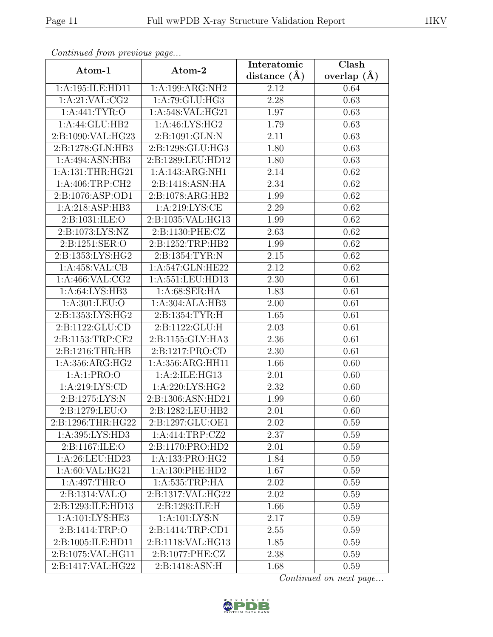| contentable provisions page<br>Atom-1 | Atom-2              | Interatomic    | Clash         |
|---------------------------------------|---------------------|----------------|---------------|
|                                       |                     | distance $(A)$ | overlap $(A)$ |
| 1:A:195:ILE:HD11                      | 1:A:199:ARG:NH2     | 2.12           | 0.64          |
| 1: A:21: VAL: CG2                     | 1:A:79:GLU:HG3      | 2.28           | 0.63          |
| 1:A:441:TYR:O                         | 1:A:548:VAL:HG21    | 1.97           | 0.63          |
| 1:A:44:GLU:HB2                        | 1:A:46:LYS:HG2      | 1.79           | 0.63          |
| 2:B:1090:VAL:HG23                     | 2: B: 1091: GLN: N  | 2.11           | 0.63          |
| 2:B:1278:GLN:HB3                      | $2:$ B:1298:GLU:HG3 | 1.80           | 0.63          |
| 1:A:494:ASN:HB3                       | 2:B:1289:LEU:HD12   | 1.80           | 0.63          |
| 1: A: 131: THR: HG21                  | 1:A:143:ARG:NH1     | 2.14           | 0.62          |
| 1:A:406:TRP:CH2                       | 2:B:1418:ASN:HA     | 2.34           | 0.62          |
| 2:B:1076:ASP:OD1                      | 2:B:1078:ARG:HB2    | 1.99           | 0.62          |
| 1:A:218:ASP:HB3                       | 1:A:219:LYS:CE      | 2.29           | 0.62          |
| 2: B: 1031: ILE: O                    | 2:B:1035:VAL:HG13   | 1.99           | 0.62          |
| 2:B:1073:LYS:NZ                       | 2:B:1130:PHE:CZ     | 2.63           | 0.62          |
| 2:B:1251:SER:O                        | 2:B:1252:TRP:HB2    | 1.99           | $0.62\,$      |
| 2:B:1353:LYS:HG2                      | 2:B:1354:TYR:N      | 2.15           | 0.62          |
| $1:A:458:VAL: \overline{CB}$          | 1:A:547:GLN:HE22    | 2.12           | 0.62          |
| 1: A:466: VAL: CG2                    | 1:A:551:LEU:HD13    | 2.30           | 0.61          |
| 1: A:64: LYS:HB3                      | 1: A:68: SER: HA    | 1.83           | 0.61          |
| 1:A:301:LEU:O                         | 1:A:304:ALA:HB3     | 2.00           | 0.61          |
| 2:B:1353:LYS:HG2                      | 2:B:1354:TYR:H      | 1.65           | 0.61          |
| 2:B:1122:GLU:CD                       | 2:B:1122:GLU:H      | 2.03           | 0.61          |
| 2:B:1153:TRP:CE2                      | 2:B:1155:GLY:HA3    | 2.36           | 0.61          |
| 2:B:1216:THR:HB                       | 2:B:1217:PRO:CD     | 2.30           | 0.61          |
| 1:A:356:ARG:HG2                       | 1:A:356:ARG:HH11    | 1.66           | 0.60          |
| 1:A:1:PRO:O                           | 1:A:2:ILE:HG13      | 2.01           | 0.60          |
| 1:A:219:LYS:CD                        | 1:A:220:LYS:HG2     | 2.32           | 0.60          |
| 2:B:1275:LYS:N                        | 2:B:1306:ASN:HD21   | 1.99           | 0.60          |
| 2:B:1279:LEU:O                        | 2:B:1282:LEU:HB2    | 2.01           | 0.60          |
| 2:B:1296:THR:HG22                     | 2:B:1297:GLU:OE1    | 2.02           | 0.59          |
| 1:A:395:LYS:HD3                       | 1:A:414:TRP:CZ2     | 2.37           | 0.59          |
| 2:B:1167:ILE:O                        | 2:B:1170:PRO:HD2    | 2.01           | 0.59          |
| 1:A:26:LEU:HD23                       | 1:A:133:PRO:HG2     | 1.84           | 0.59          |
| 1:A:60:VAL:HG21                       | 1: A: 130: PHE: HD2 | 1.67           | 0.59          |
| 1:A:497:THR:O                         | 1:A:535:TRP:HA      | 2.02           | 0.59          |
| 2:B:1314:VAL:O                        | 2:B:1317:VAL:HG22   | 2.02           | 0.59          |
| 2:B:1293:ILE:HD13                     | 2:B:1293:ILE:H      | 1.66           | 0.59          |
| 1: A:101:LYS:HE3                      | 1: A: 101: LYS: N   | 2.17           | $0.59\,$      |
| 2:B:1414:TRP:O                        | 2:B:1414:TRP:CD1    | 2.55           | 0.59          |
| 2:B:1005:ILE:HD11                     | 2:B:1118:VAL:HG13   | 1.85           | 0.59          |
| 2:B:1075:VAL:HG11                     | 2:B:1077:PHE:CZ     | 2.38           | 0.59          |
| 2:B:1417:VAL:HG22                     | 2:B:1418:ASN:H      | 1.68           | 0.59          |

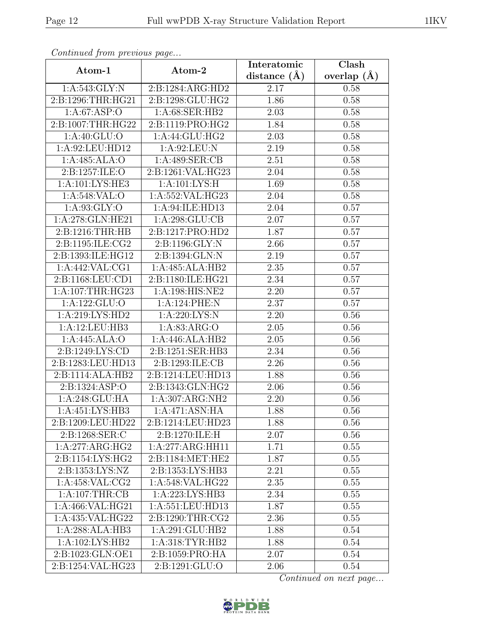| $\mathcal{F}$ , $\mathcal{F}$ , $\mathcal{F}$ , $\mathcal{F}$ , $\mathcal{F}$ , $\mathcal{F}$ , $\mathcal{F}$ , $\mathcal{F}$<br>Atom-1 | $\mathbf{r} \cdot \mathbf{y}$<br>Atom-2 | Interatomic    | Clash           |
|-----------------------------------------------------------------------------------------------------------------------------------------|-----------------------------------------|----------------|-----------------|
|                                                                                                                                         |                                         | distance $(A)$ | overlap $(\AA)$ |
| 1: A:543: GLY:N                                                                                                                         | 2:B:1284:ARG:HD2                        | 2.17           | 0.58            |
| 2:Bi:1296:THR:HG21                                                                                                                      | 2:B:1298:GLU:HG2                        | 1.86           | 0.58            |
| 1: A:67: ASP:O                                                                                                                          | 1:A:68:SER:HB2                          | 2.03           | 0.58            |
| 2:B:1007:THR:HG22                                                                                                                       | 2:B:1119:PRO:HG2                        | 1.84           | 0.58            |
| 1: A:40: GLU:O                                                                                                                          | 1:A:44:GLU:HG2                          | 2.03           | 0.58            |
| 1: A:92:LEU:HD12                                                                                                                        | 1:A:92:LEU:N                            | 2.19           | 0.58            |
| 1:A:485:ALA:O                                                                                                                           | 1:A:489:SER:CB                          | 2.51           | 0.58            |
| 2:B:1257:ILE:O                                                                                                                          | 2:B:1261:VAL:HG23                       | 2.04           | 0.58            |
| 1: A: 101: LYS: HE3                                                                                                                     | 1: A: 101: LYS: H                       | 1.69           | 0.58            |
| 1:A:548:VAL:O                                                                                                                           | 1:A:552:VAL:HG23                        | 2.04           | 0.58            |
| 1: A:93: GLY:O                                                                                                                          | 1:A:94:ILE:HD13                         | 2.04           | 0.57            |
| 1:A:278:GLN:HE21                                                                                                                        | 1:A:298:GLU:CB                          | $2.07\,$       | 0.57            |
| 2:B:1216:THR:HB                                                                                                                         | 2:B:1217:PRO:HD2                        | 1.87           | 0.57            |
| 2:B:1195:ILE:CG2                                                                                                                        | 2:B:1196:GLY:N                          | 2.66           | 0.57            |
| 2:B:1393:ILE:HG12                                                                                                                       | 2:B:1394:GLN:N                          | 2.19           | 0.57            |
| 1:A:442:VAL:CG1                                                                                                                         | 1:A:485:ALA:HB2                         | 2.35           | 0.57            |
| 2:B:1168:LEU:CD1                                                                                                                        | 2:B:1180:ILE:HG21                       | 2.34           | 0.57            |
| 1:A:107:THR:HG23                                                                                                                        | 1:A:198:HIS:NE2                         | 2.20           | 0.57            |
| 1:A:122:GLU:O                                                                                                                           | 1:A:124:PHE:N                           | 2.37           | 0.57            |
| 1:A:219:LYS:HD2                                                                                                                         | 1: A:220: LYS:N                         | 2.20           | 0.56            |
| 1:A:12:LEU:HB3                                                                                                                          | 1: A:83: ARG:O                          | 2.05           | 0.56            |
| 1:A:445:ALA:O                                                                                                                           | 1:A:446:ALA:HB2                         | 2.05           | 0.56            |
| 2:B:1249:LYS:CD                                                                                                                         | 2:B:1251:SER:HB3                        | 2.34           | 0.56            |
| 2:B:1283:LEU:HD13                                                                                                                       | 2:B:1293:ILE:CB                         | 2.26           | 0.56            |
| $2:B:1114:ALA:H\overline{B2}$                                                                                                           | 2:B:1214:LEU:HD13                       | 1.88           | 0.56            |
| 2:B:1324:ASP:O                                                                                                                          | 2:B:1343:GLN:HG2                        | 2.06           | 0.56            |
| 1:A:248:GLU:HA                                                                                                                          | 1:A:307:ARG:NH2                         | 2.20           | 0.56            |
| 1:A:451:LYS:HB3                                                                                                                         | 1:A:471:ASN:HA                          | 1.88           | 0.56            |
| 2:B:1209:LEU:HD22                                                                                                                       | 2:B:1214:LEU:HD23                       | 1.88           | 0.56            |
| 2:B:1268:SER:C                                                                                                                          | 2:B:1270:ILE:H                          | 2.07           | 0.56            |
| 1:A:277:ARG:HG2                                                                                                                         | 1:A:277:ARG:HH11                        | 1.71           | 0.55            |
| 2:B:1154:LYS:HG2                                                                                                                        | 2:B:1184:MET:HE2                        | 1.87           | 0.55            |
| 2:B:1353:LYS:NZ                                                                                                                         | 2:B:1353:LYS:HB3                        | 2.21           | 0.55            |
| 1: A:458: VAL: CG2                                                                                                                      | 1:A:548:VAL:HG22                        | 2.35           | 0.55            |
| 1:A:107:THR:CB                                                                                                                          | 1: A:223: LYS: HB3                      | 2.34           | 0.55            |
| 1:A:466:VAL:HG21                                                                                                                        | 1:A:551:LEU:HD13                        | 1.87           | 0.55            |
| 1:A:435:VAL:HG22                                                                                                                        | 2:B:1290:THR:CG2                        | $2.36\,$       | 0.55            |
| 1:A:288:ALA:HB3                                                                                                                         | 1:A:291:GLU:HB2                         | 1.88           | 0.54            |
| 1:A:102:LYS:HB2                                                                                                                         | 1: A:318: TYR: HB2                      | 1.88           | 0.54            |
| 2:B:1023:GLN:OE1                                                                                                                        | 2:B:1059:PRO:HA                         | 2.07           | 0.54            |
| 2:B:1254:VAL:HG23                                                                                                                       | 2:B:1291:GLU:O                          | 2.06           | 0.54            |

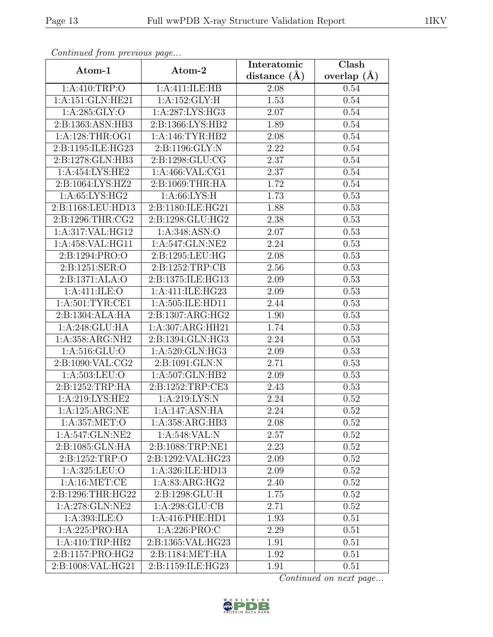|                                             |                                   | Interatomic    | Clash         |
|---------------------------------------------|-----------------------------------|----------------|---------------|
| Atom-1                                      | Atom-2                            | distance $(A)$ | overlap $(A)$ |
| 1: A:410:TRP:O                              | 1:A:411:ILE:HB                    | 2.08           | 0.54          |
| 1:A:151:GLN:HE21                            | 1:A:152:GLY:H                     | 1.53           | $0.54\,$      |
| 1: A:285: GLY:O                             | 1: A:287: LYS: HG3                | 2.07           | 0.54          |
| 2:B:1363:ASN:HB3                            | 2:B:1366:LYS:HB2                  | 1.89           | 0.54          |
| 1: A:128:THR:OG1                            | 1: A:146: TYR: HB2                | 2.08           | 0.54          |
| 2:B:1195:ILE:HG23                           | 2:B:1196:GLY:N                    | 2.22           | $0.54\,$      |
| 2:B:1278:GLN:HB3                            | 2:B:1298:GLU:CG                   | 2.37           | 0.54          |
| 1:A:454:LYS:HE2                             | 1: A:466: VAL:CG1                 | 2.37           | 0.54          |
| 2:B:1064:LYS:HZ2                            | 2:B:1069:THR:HA                   | 1.72           | 0.54          |
| 1:A:65:LYS:HG2                              | 1: A:66: LYS:H                    | 1.73           | 0.53          |
| 2:B:1168:LEU:HD13                           | 2:B:1180:ILE:HG21                 | 1.88           | 0.53          |
| 2:B:1296:THR:CG2                            | $2: B: 1298: \overline{GLU: HG2}$ | 2.38           | 0.53          |
| 1:A:317:VAL:HG12                            | 1:A:348:ASN:O                     | 2.07           | 0.53          |
| 1:A:458:VAL:HG11                            | 1:A:547:GLN:NE2                   | 2.24           | 0.53          |
| 2:B:1294:PRO:O                              | 2:B:1295:LEU:HG                   | 2.08           | 0.53          |
| 2:B:1251:SER:O                              | 2:B:1252:TRP:CB                   | 2.56           | 0.53          |
| 2:B:1371:ALA:O                              | 2:B:1375:ILE:HG13                 | 2.09           | 0.53          |
| 1: A: 411: ILE: O                           | 1:A:411:ILE:HG23                  | 2.09           | 0.53          |
| 1: A:501:TYR:CE1                            | 1:A:505:ILE:HD11                  | 2.44           | 0.53          |
| 2:B:1304:ALA:HA                             | 2:B:1307:ARG:HG2                  | 1.90           | 0.53          |
| 1:A:248:GLU:HA                              | 1:A:307:ARG:HH21                  | 1.74           | 0.53          |
| 1:A:358:ARG:NH2                             | 2:B:1394:GLN:HG3                  | 2.24           | 0.53          |
| 1: A:516: GLU:O                             | 1: A:520: GLN: HG3                | 2.09           | 0.53          |
| 2:B:1090:VAL:CG2                            | 2:B:1091:GLN:N                    | 2.71           | 0.53          |
| 1: A: 503: LEU: O                           | 1:A:507:GLN:HB2                   | 2.09           | 0.53          |
| 2:B:1252:TRP:HA                             | 2:B:1252:TRP:CE3                  | 2.43           | 0.53          |
| 1:A:219:LYS:HE2                             | 1:A:219:LYS:N                     | 2.24           | 0.52          |
| 1:A:125:ARG:NE                              | 1:A:147:ASN:HA                    | 2.24           | 0.52          |
| 1:A:357:MET:O                               | 1:A:358:ARG:HB3                   | 2.08           | 0.52          |
| 1:A:547:GLN:NE2                             | 1: A:548: VAL: N                  | 2.57           | 0.52          |
| 2:B:1085:GLN:HA                             | 2:B:1088:TRP:NE1                  | 2.23           | 0.52          |
| 2:B:1252:TRP:O                              | 2:B:1292:VAL:HG23                 | 2.09           | 0.52          |
| 1: A:325: LEU:O                             | 1:A:326:ILE:HD13                  | 2.09           | 0.52          |
| $1: A:16: \overline{\text{MET}: \text{CE}}$ | 1: A:83: ARG:HG2                  | 2.40           | 0.52          |
| 2:B:1296:THR:HG22                           | 2: B: 1298: GLU: H                | 1.75           | 0.52          |
| 1:A:278:GLN:NE2                             | 1:A:298:GLU:CB                    | 2.71           | 0.52          |
| 1:A:393:ILE:O                               | 1: A:416: PHE: HD1                | 1.93           | 0.51          |
| 1:A:225:PRO:HA                              | 1: A:226: PRO:C                   | 2.29           | 0.51          |
| 1:A:410:TRP:HB2                             | 2:B:1365:VAL:HG23                 | 1.91           | 0.51          |
| 2:B:1157:PRO:HG2                            | 2:B:1184:MET:HA                   | 1.92           | 0.51          |
| 2:B:1008:VAL:HG21                           | 2:B:1159:ILE:HG23                 | 1.91           | 0.51          |

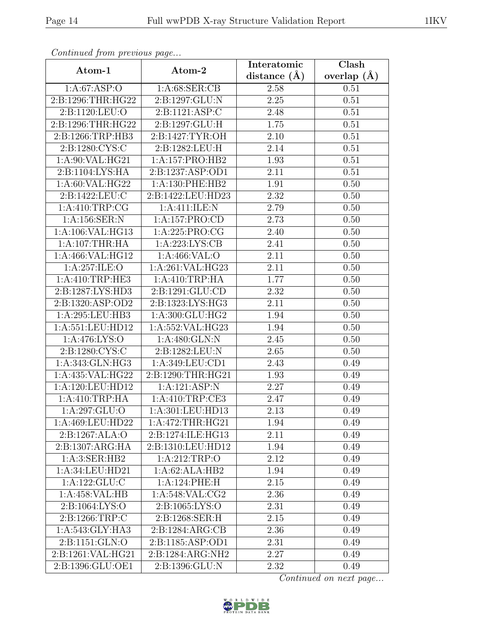| Atom-1             |                     | Interatomic       | $\overline{\text{Clash}}$ |
|--------------------|---------------------|-------------------|---------------------------|
|                    | Atom-2              | distance $(A)$    | overlap $(A)$             |
| 1:A:67:ASP:O       | 1: A:68: SER:CB     | 2.58              | 0.51                      |
| 2:B:1296:THR:HG22  | 2:B:1297:GLU:N      | $2.25\,$          | 0.51                      |
| 2:B:1120:LEU:O     | 2:B:1121:ASP:C      | 2.48              | 0.51                      |
| 2:B:1296:THR:HG22  | 2:B:1297:GLU:H      | 1.75              | 0.51                      |
| 2:B:1266:TRP:HB3   | 2:B:1427:TYR:OH     | 2.10              | 0.51                      |
| 2:B:1280:CYS:C     | 2:B:1282:LEU:H      | 2.14              | 0.51                      |
| 1: A:90: VAL: HG21 | 1:A:157:PRO:HB2     | 1.93              | 0.51                      |
| 2:B:1104:LYS:HA    | 2:B:1237:ASP:OD1    | 2.11              | 0.51                      |
| 1:A:60:VAL:HG22    | 1:A:130:PHE:HB2     | 1.91              | 0.50                      |
| 2:B:1422:LEU:C     | 2:B:1422:LEU:HD23   | 2.32              | 0.50                      |
| 1:A:410:TRP:CG     | 1:A:411:ILE:N       | 2.79              | 0.50                      |
| 1:A:156:SER:N      | 1:A:157:PRO:CD      | 2.73              | 0.50                      |
| 1:A:106:VAL:HG13   | 1:A:225:PRO:CG      | 2.40              | 0.50                      |
| 1: A:107:THR:HA    | 1: A:223: LYS: CB   | 2.41              | 0.50                      |
| 1:A:466:VAL:HG12   | 1: A:466: VAL:O     | 2.11              | 0.50                      |
| 1: A:257: ILE: O   | 1:A:261:VAL:HG23    | 2.11              | 0.50                      |
| 1:A:410:TRP:HE3    | 1: A:410:TRP:HA     | 1.77              | 0.50                      |
| 2:B:1287:LYS:HD3   | 2:B:1291:GLU:CD     | 2.32              | 0.50                      |
| 2:B:1320:ASP:OD2   | 2:B:1323:LYS:HG3    | 2.11              | 0.50                      |
| 1:A:295:LEU:HB3    | 1:A:300:GLU:HG2     | 1.94              | 0.50                      |
| 1:A:551:LEU:HD12   | 1:A:552:VAL:HG23    | 1.94              | 0.50                      |
| 1:A:476:LYS:O      | 1:A:480:GLN:N       | 2.45              | 0.50                      |
| 2:B:1280:CYS:C     | 2:B:1282:LEU:N      | 2.65              | 0.50                      |
| 1:A:343:GLN:HG3    | 1:A:349:LEU:CD1     | 2.43              | 0.49                      |
| 1:A:435:VAL:HG22   | 2:B:1290:THR:HG21   | 1.93              | 0.49                      |
| 1:A:120:LEU:HD12   | 1:A:121:ASP:N       | $\overline{2.27}$ | 0.49                      |
| 1: A:410:TRP:HA    | 1: A:410:TRP:CE3    | 2.47              | 0.49                      |
| 1:A:297:GLU:O      | 1:A:301:LEU:HD13    | 2.13              | 0.49                      |
| 1:A:469:LEU:HD22   | 1: A:472:THR:HG21   | 1.94              | 0.49                      |
| 2:B:1267:ALA:O     | 2:B:1274:ILE:HG13   | 2.11              | 0.49                      |
| 2:B:1307:ARG:HA    | 2:B:1310:LEU:HD12   | 1.94              | 0.49                      |
| 1:A:3:SER:HB2      | 1:A:212:TRP:O       | 2.12              | 0.49                      |
| 1:A:34:LEU:HD21    | 1:A:62:ALA:HB2      | 1.94              | 0.49                      |
| 1:A:122:GLU:C      | 1:A:124:PHE:H       | 2.15              | 0.49                      |
| 1:A:458:VAL:HB     | 1: A:548: VAL: CG2  | 2.36              | 0.49                      |
| 2:B:1064:LYS:O     | 2: B: 1065: LYS: O  | 2.31              | 0.49                      |
| 2:B:1266:TRP:C     | 2:B:1268:SER:H      | 2.15              | 0.49                      |
| 1:A:543:GLY:HA3    | 2: B: 1284: ARG: CB | 2.36              | 0.49                      |
| 2:Bi:1151:GLN:O    | 2:B:1185:ASP:OD1    | 2.31              | 0.49                      |
| 2:B:1261:VAL:HG21  | 2:B:1284:ARG:NH2    | 2.27              | 0.49                      |
| 2:B:1396:GLU:OE1   | 2:B:1396:GLU:N      | 2.32              | 0.49                      |

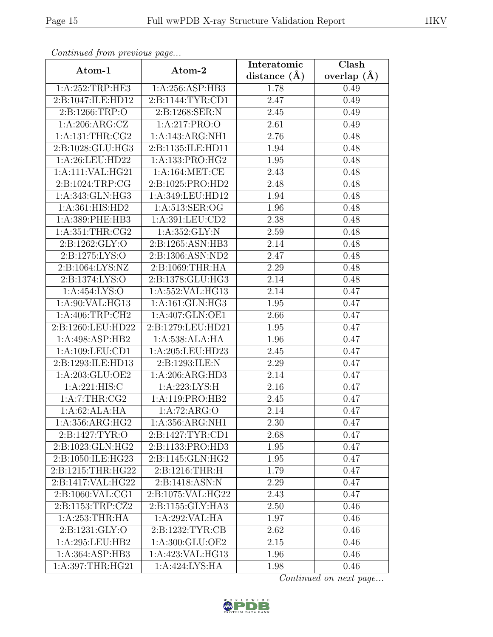| sonimada ji oni procesas pago |                     | Interatomic    | Clash         |
|-------------------------------|---------------------|----------------|---------------|
| Atom-1                        | Atom-2              | distance $(A)$ | overlap $(A)$ |
| 1:A:252:TRP:HE3               | 1:A:256:ASP:HB3     | 1.78           | 0.49          |
| 2:B:1047:ILE:HD12             | 2:B:1144:TYR:CD1    | 2.47           | 0.49          |
| 2:B:1266:TRP:O                | 2: B: 1268: SER: N  | 2.45           | 0.49          |
| 1: A:206: ARG: CZ             | 1:A:217:PRO:O       | 2.61           | 0.49          |
| 1: A: 131: THR: CG2           | 1:A:143:ARG:NH1     | 2.76           | 0.48          |
| 2:B:1028:GLU:HG3              | 2:B:1135:ILE:HD11   | 1.94           | 0.48          |
| 1:A:26:LEU:HD22               | 1:A:133:PRO:HG2     | 1.95           | 0.48          |
| 1:A:111:VAL:HG21              | 1: A: 164: MET:CE   | 2.43           | 0.48          |
| 2:B:1024:TRP:CG               | 2:B:1025:PRO:HD2    | 2.48           | 0.48          |
| 1:A:343:GLN:HG3               | 1:A:349:LEU:HD12    | 1.94           | 0.48          |
| 1:A:361:HIS:HD2               | 1:A:513:SER:OG      | 1.96           | 0.48          |
| 1:A:389:PHE:HB3               | 1:A:391:LEU:CD2     | 2.38           | 0.48          |
| 1: A:351:THR:CG2              | 1: A: 352: GLY:N    | 2.59           | 0.48          |
| 2:B:1262:GLY:O                | 2:B:1265:ASN:HB3    | 2.14           | 0.48          |
| 2: B: 1275: LYS: O            | 2:B:1306:ASN:ND2    | 2.47           | 0.48          |
| 2: B: 1064: LYS: NZ           | 2: B: 1069: THR: HA | 2.29           | 0.48          |
| 2: B: 1374: LYS: O            | 2:B:1378:GLU:HG3    | 2.14           | 0.48          |
| 1:A:454:LYS:O                 | 1:A:552:VAL:HG13    | 2.14           | 0.47          |
| 1:A:90:VAL:HG13               | 1:A:161:GLN:HG3     | 1.95           | 0.47          |
| 1: A:406:TRP:CH2              | 1:A:407:GLN:OE1     | 2.66           | 0.47          |
| 2:B:1260:LEU:HD22             | 2:B:1279:LEU:HD21   | 1.95           | 0.47          |
| 1:A:498:ASP:HB2               | 1:A:538:ALA:HA      | 1.96           | 0.47          |
| 1: A: 109: LEU: CD1           | 1:A:205:LEU:HD23    | 2.45           | 0.47          |
| 2:B:1293:ILE:HD13             | 2:B:1293:ILE:N      | 2.29           | 0.47          |
| 1: A:203: GLU:OE2             | 1:A:206:ARG:HD3     | 2.14           | 0.47          |
| 1: A:221: HIS: C              | 1:A:223:LYS:H       | 2.16           | 0.47          |
| 1:A:7:THR:CG2                 | 1:A:119:PRO:HB2     | 2.45           | 0.47          |
| 1:A:62:ALA:HA                 | 1:A:72:ARG:O        | 2.14           | 0.47          |
| 1: A: 356: ARG: HG2           | 1:A:356:ARG:NH1     | 2.30           | 0.47          |
| 2:B:1427:TYR:O                | 2:B:1427:TYR:CD1    | 2.68           | 0.47          |
| 2:B:1023:GLN:HG2              | 2:B:1133:PRO:HD3    | 1.95           | 0.47          |
| 2:B:1050:ILE:HG23             | 2:B:1145:GLN:HG2    | 1.95           | 0.47          |
| 2:B:1215:THR:HG22             | 2:B:1216:THR:H      | 1.79           | 0.47          |
| 2:B:1417:VAL:HG22             | 2:B:1418:ASN:N      | 2.29           | 0.47          |
| 2:B:1060:VAL:CG1              | 2:B:1075:VAL:HG22   | 2.43           | 0.47          |
| 2:B:1153:TRP:CZ2              | 2:B:1155:GLY:HA3    | 2.50           | 0.46          |
| 1: A:253:THR:HA               | 1:A:292:VAL:HA      | 1.97           | 0.46          |
| 2:B:1231:GLY:O                | 2:B:1232:TYR:CB     | 2.62           | 0.46          |
| 1:A:295:LEU:HB2               | 1:A:300:GLU:OE2     | 2.15           | 0.46          |
| 1:A:364:ASP:HB3               | 1:A:423:VAL:HG13    | 1.96           | 0.46          |
| 1:A:397:THR:HG21              | 1:A:424:LYS:HA      | 1.98           | 0.46          |

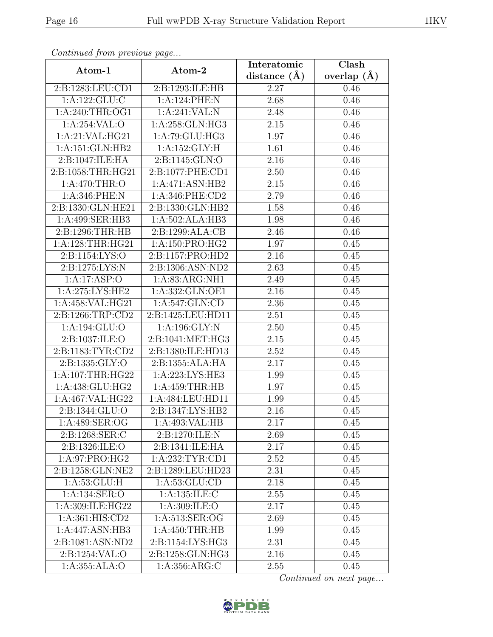| $\cdots$ $\cdots$ $\cdots$ $\cdots$ $\cdots$ $\cdots$ $\cdots$<br>Atom-1 | Atom-2                         | Interatomic    | Clash           |
|--------------------------------------------------------------------------|--------------------------------|----------------|-----------------|
|                                                                          |                                | distance $(A)$ | overlap $(\AA)$ |
| 2:B:1283:LEU:CD1                                                         | 2:B:1293:ILE:HB                | 2.27           | 0.46            |
| 1: A: 122: GLU: C                                                        | 1:A:124:PHE:N                  | 2.68           | 0.46            |
| 1: A:240:THR:OG1                                                         | 1:A:241:VAL:N                  | 2.48           | 0.46            |
| 1:A:254:VAL:O                                                            | 1:A:258:GLN:HG3                | 2.15           | 0.46            |
| 1:A:21:VAL:HG21                                                          | 1:A:79:GLU:HG3                 | 1.97           | 0.46            |
| 1:A:151:GLN:HB2                                                          | 1: A:152: GLY: H               | 1.61           | 0.46            |
| 2:B:1047:ILE:HA                                                          | 2:B:1145:GLN:O                 | 2.16           | 0.46            |
| 2:B:1058:THR:HG21                                                        | 2:B:1077:PHE:CD1               | 2.50           | 0.46            |
| 1: A:470:THR:O                                                           | 1:A:471:ASN:HB2                | 2.15           | 0.46            |
| $1:A:\overline{346:PHE:N}$                                               | $1:$ A:346:PHE:CD2             | 2.79           | 0.46            |
| 2:B:1330:GLN:HE21                                                        | 2:B:1330:GLN:HB2               | 1.58           | 0.46            |
| 1:A:499:SER:HB3                                                          | 1:A:502:ALA:HB3                | 1.98           | 0.46            |
| 2:B:1296:THR:HB                                                          | 2:B:1299:ALA:CB                | 2.46           | 0.46            |
| 1: A:128:THR:HG21                                                        | 1:A:150:PRO:HG2                | 1.97           | 0.45            |
| 2:B:1154:LYS:O                                                           | 2:B:1157:PRO:HD2               | 2.16           | 0.45            |
| 2:B:1275:LYS:N                                                           | 2:B:1306:ASN:ND2               | 2.63           | 0.45            |
| 1:A:17:ASP:O                                                             | $1: A:83: ARG: \overline{NH1}$ | 2.49           | 0.45            |
| 1: A:275: LYS: HE2                                                       | 1:A:332:GLN:OE1                | 2.16           | 0.45            |
| 1:A:458:VAL:HG21                                                         | 1: A:547: GLN:CD               | $2.36\,$       | 0.45            |
| 2:B:1266:TRP:CD2                                                         | 2:B:1425:LEU:HD11              | 2.51           | 0.45            |
| 1: A: 194: GLU:O                                                         | 1: A:196: GLY:N                | 2.50           | 0.45            |
| 2:B:1037:ILE:O                                                           | 2:B:1041:MET:HG3               | 2.15           | 0.45            |
| 2:B:1183:TYR:CD2                                                         | 2:B:1380:ILE:HD13              | 2.52           | 0.45            |
| 2:B:1335:GLY:O                                                           | 2:B:1355:ALA:HA                | 2.17           | 0.45            |
| 1: A: 107: THR: HG22                                                     | 1: A:223:LYS:HE3               | 1.99           | 0.45            |
| $1: A:438: GLU: \overline{HG2}$                                          | 1:A:459:THR:HB                 | 1.97           | 0.45            |
| 1:A:467:VAL:HG22                                                         | 1:A:484:LEU:HD11               | 1.99           | 0.45            |
| 2:B:1344:GLU:O                                                           | 2:B:1347:LYS:HB2               | 2.16           | 0.45            |
| 1:A:489:SER:OG                                                           | 1:A:493:VAL:HB                 | 2.17           | 0.45            |
| 2:B:1268:SER:C                                                           | 2:B:1270:ILE:N                 | 2.69           | 0.45            |
| 2:B:1326:ILE:O                                                           | 2:B:1341:ILE:HA                | 2.17           | 0.45            |
| 1:A:97:PRO:HG2                                                           | 1: A:232:TYR:CD1               | 2.52           | 0.45            |
| 2:B:1258:GLN:NE2                                                         | 2:B:1289:LEU:HD23              | 2.31           | 0.45            |
| 1: A:53: GLU: H                                                          | 1: A:53: GLU:CD                | 2.18           | 0.45            |
| 1:A:134:SER:O                                                            | 1: A: 135: ILE:C               | 2.55           | 0.45            |
| 1:A:309:ILE:HG22                                                         | 1:A:309:ILE:O                  | 2.17           | 0.45            |
| 1:A:361:HIS:CD2                                                          | 1:A:513:SER:OG                 | 2.69           | 0.45            |
| 1:A:447:ASN:HB3                                                          | 1:A:450:THR:HB                 | 1.99           | 0.45            |
| 2:B:1081:ASN:ND2                                                         | 2:B:1154:LYS:HG3               | 2.31           | 0.45            |
| 2:B:1254:VAL:O                                                           | 2:B:1258:GLN:HG3               | 2.16           | 0.45            |
| 1:A:355:ALA:O                                                            | 1: A: 356: ARG: C              | 2.55           | 0.45            |

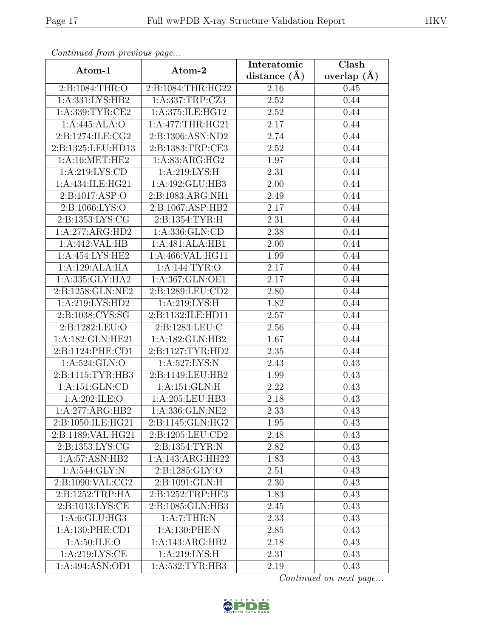| Atom-1                                   | Atom-2             | Interatomic       | Clash           |
|------------------------------------------|--------------------|-------------------|-----------------|
|                                          |                    | distance $(A)$    | overlap $(\AA)$ |
| 2:B:1084:THR:O                           | 2:B:1084:THR:HG22  | 2.16              | 0.45            |
| $1:A:331:\overline{\text{LYS:HB2}}$      | 1:A:337:TRP:CZ3    | 2.52              | 0.44            |
| 1:A:339:TYR:CE2                          | 1:A:375:ILE:HG12   | 2.52              | 0.44            |
| 1:A:445:ALA:O                            | 1:A:477:THR:HG21   | 2.17              | 0.44            |
| 2:B:1274:ILE:CG2                         | 2:B:1306:ASN:ND2   | 2.74              | 0.44            |
| 2:B:1325:LEU:HD13                        | 2:B:1383:TRP:CE3   | 2.52              | 0.44            |
| 1:A:16:MET:HE2                           | 1: A:83: ARG: HG2  | 1.97              | 0.44            |
| 1: A:219: LYS:CD                         | 1: A:219: LYS:H    | 2.31              | 0.44            |
| 1:A:434:ILE:HG21                         | 1:A:492:GLU:HB3    | 2.00              | 0.44            |
| 2: B: 1017: ASP: O                       | 2:B:1083:ARG:NH1   | 2.49              | 0.44            |
| 2:B:1066:LYS:O                           | 2:B:1067:ASP:HB2   | 2.17              | 0.44            |
| 2:B:1353:LYS:CG                          | 2:B:1354:TYR:H     | 2.31              | 0.44            |
| 1:A:277:ARG:HD2                          | 1:A:336:GLN:CD     | 2.38              | 0.44            |
| 1:A:442:VAL:HB                           | 1:A:481:ALA:HB1    | 2.00              | 0.44            |
| 1:A:454:LYS:HE2                          | 1:A:466:VAL:HG11   | 1.99              | 0.44            |
| 1:A:129:ALA:HA                           | 1: A:144: TYR:O    | 2.17              | 0.44            |
| 1:A:335:GLY:HA2                          | 1:A:367:GLN:OE1    | 2.17              | 0.44            |
| 2:B:1258:GLN:NE2                         | 2:B:1289:LEU:CD2   | 2.80              | 0.44            |
| 1:A:219:LYS:HD2                          | 1: A:219: LYS:H    | 1.82              | 0.44            |
| 2:B:1038:CYS:SG                          | 2:B:1132:ILE:HD11  | 2.57              | 0.44            |
| 2:B:1282:LEU:O                           | 2: B: 1283: LEU: C | 2.56              | 0.44            |
| 1:A:182:GLN:HE21                         | 1:A:182:GLN:HB2    | 1.67              | 0.44            |
| 2:B:1124:PHE:CD1                         | 2:B:1127:TYR:HD2   | 2.35              | 0.44            |
| 1:A:524:GLN:O                            | 1: A:527: LYS: N   | 2.43              | 0.43            |
| 2:B:1115:TYR:HB3                         | 2:B:1149:LEU:HB2   | 1.99              | 0.43            |
| 1:A:151:GLN:CD                           | 1:A:151:GLN:H      | $\overline{2.22}$ | 0.43            |
| 1:A:202:ILE:O                            | 1:A:205:LEU:HB3    | 2.18              | 0.43            |
| 1:A:277:ARG:HB2                          | 1:A:336:GLN:NE2    | 2.33              | 0.43            |
| 2:B:1050:ILE:HG21                        | 2:B:1145:GLN:HG2   | 1.95              | 0.43            |
| 2:B:1189:VAL:HG21                        | 2:B:1205:LEU:CD2   | 2.48              | 0.43            |
| 2: B: 1353: LYS: CG                      | 2:B:1354:TYR:N     | 2.82              | 0.43            |
| 1:A:57:ASN:HB2                           | 1:A:143:ARG:HH22   | 1.83              | 0.43            |
| 1:A:544:GLY:N                            | 2:B:1285:GLY:O     | 2.51              | 0.43            |
| $2: B: 1090: \overline{\text{VAL}: CG2}$ | 2:B:1091:GLN:H     | 2.30              | 0.43            |
| 2:B:1252:TRP:HA                          | 2:B:1252:TRP:HE3   | 1.83              | 0.43            |
| 2:B:1013:LYS:CE                          | 2:B:1085:GLN:HB3   | 2.45              | 0.43            |
| 1: A:6: GLU: HG3                         | 1:A:7:THR:N        | 2.33              | 0.43            |
| $1:A:130:$ PHE:CD1                       | 1:A:130:PHE:N      | 2.85              | 0.43            |
| 1:A:50:ILE:O                             | 1:A:143:ARG:HB2    | 2.18              | 0.43            |
| 1: A:219: LYS: CE                        | 1:A:219:LYS:H      | 2.31              | 0.43            |
| 1:A:494:ASN:OD1                          | 1:A:532:TYR:HB3    | 2.19              | 0.43            |

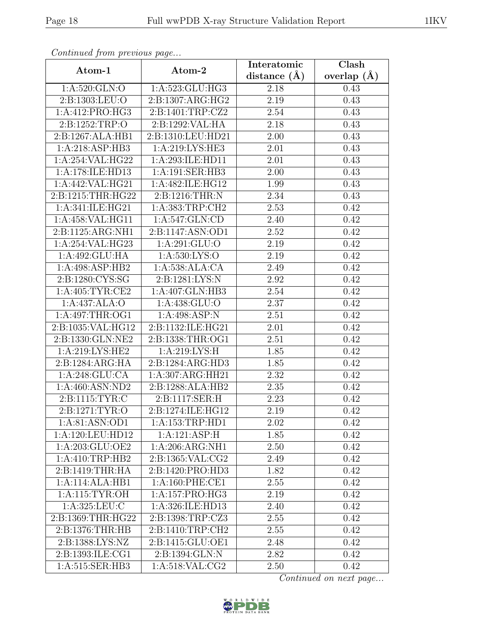| Atom-1                     | Atom-2              | Interatomic       | Clash         |
|----------------------------|---------------------|-------------------|---------------|
|                            |                     | distance $(A)$    | overlap $(A)$ |
| 1:A:520:GLN:O              | 1:A:523:GLU:HG3     | 2.18              | 0.43          |
| 2:B:1303:LEU:O             | 2:B:1307:ARG:HG2    | 2.19              | 0.43          |
| 1:A:412:PRO:HG3            | 2:B:1401:TRP:CZ2    | 2.54              | 0.43          |
| 2:B:1252:TRP:O             | 2:B:1292:VAL:HA     | 2.18              | 0.43          |
| 2:B:1267:ALA:HB1           | 2:B:1310:LEU:HD21   | 2.00              | 0.43          |
| 1:A:218:ASP:HB3            | 1:A:219:LYS:HE3     | 2.01              | 0.43          |
| 1:A:254:VAL:HG22           | 1:A:293:ILE:HD11    | 2.01              | 0.43          |
| 1:A:178:ILE:HD13           | 1:A:191:SER:HB3     | 2.00              | 0.43          |
| 1:A:442:VAL:HG21           | 1:A:482:ILE:HG12    | 1.99              | 0.43          |
| 2:B:1215:THR:HG22          | 2:B:1216:THR:N      | 2.34              | 0.43          |
| 1:A:341:ILE:HG21           | 1:A:383:TRP:CH2     | 2.53              | 0.42          |
| 1:A:458:VAL:HG11           | 1:A:547:GLN:CD      | 2.40              | 0.42          |
| 2:B:1125:ARG:NH1           | 2:B:1147:ASN:OD1    | 2.52              | 0.42          |
| 1:A:254:VAL:HG23           | 1: A:291: GLU:O     | 2.19              | 0.42          |
| 1:A:492:GLU:HA             | 1: A:530: LYS:O     | 2.19              | 0.42          |
| 1:A:498:ASP:HB2            | 1:A:538:ALA:CA      | 2.49              | 0.42          |
| 2:B:1280:CYS:SG            | 2:B:1281:LYS:N      | 2.92              | 0.42          |
| 1: A:405: TYR:CE2          | 1:A:407:GLN:HB3     | 2.54              | 0.42          |
| $1:A:437:\overline{ALA:O}$ | 1:A:438:GLU:O       | 2.37              | 0.42          |
| 1: A:497:THR:OG1           | 1:A:498:ASP:N       | 2.51              | 0.42          |
| 2:B:1035:VAL:HG12          | 2:B:1132:ILE:HG21   | 2.01              | 0.42          |
| 2:B:1330:GLN:NE2           | 2:B:1338:THR:OG1    | 2.51              | 0.42          |
| 1:A:219:LYS:HE2            | 1: A:219: LYS:H     | 1.85              | 0.42          |
| 2:B:1284:ARG:HA            | 2:B:1284:ARG:HD3    | 1.85              | 0.42          |
| 1:A:248:GLU:CA             | 1:A:307:ARG:HH21    | 2.32              | 0.42          |
| 1:A:460:ASN:ND2            | 2:B:1288:ALA:HB2    | $2.35\,$          | 0.42          |
| 2:B:1115:TYR:C             | 2:B:1117:SER:H      | 2.23              | 0.42          |
| 2:B:1271:TYR:O             | 2:B:1274:ILE:HG12   | 2.19              | 0.42          |
| 1:A:81:ASN:OD1             | 1:A:153:TRP:HD1     | 2.02              | 0.42          |
| 1:A:120:LEU:HD12           | 1:A:121:ASP:H       | 1.85              | 0.42          |
| 1:A:203:GLU:OE2            | 1:A:206:ARG:NH1     | 2.50              | 0.42          |
| 1:A:410:TRP:HB2            | 2:B:1365:VAL:CG2    | 2.49              | 0.42          |
| 2:B:1419:THR:HA            | 2:B:1420:PRO:HD3    | 1.82              | 0.42          |
| 1:A:114:ALA:HB1            | 1: A:160: PHE:CE1   | 2.55              | 0.42          |
| 1: A:115: TYR:OH           | 1: A: 157: PRO: HG3 | 2.19              | 0.42          |
| 1: A:325: LEU: C           | 1:A:326:ILE:HD13    | 2.40              | 0.42          |
| 2:B:1369:THR:HG22          | 2:B:1398:TRP:CZ3    | 2.55              | 0.42          |
| 2:B:1376:THR:HB            | 2:B:1410:TRP:CH2    | 2.55              | 0.42          |
| 2:B:1388:LYS:NZ            | 2:B:1415:GLU:OE1    | 2.48              | 0.42          |
| 2:B:1393:ILE:CG1           | 2:B:1394:GLN:N      | 2.82              | 0.42          |
| 1:A:515:SER:HB3            | 1: A:518: VAL: CG2  | $\overline{2.50}$ | 0.42          |

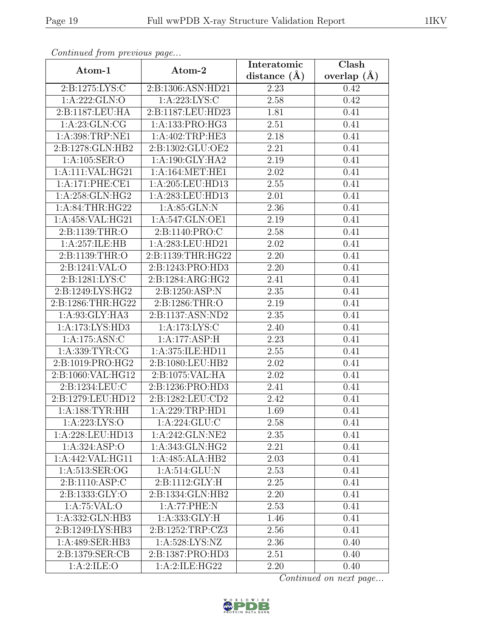| Continuum from protious page |                    | Interatomic      | Clash         |
|------------------------------|--------------------|------------------|---------------|
| Atom-1                       | Atom-2             | distance $(\AA)$ | overlap $(A)$ |
| 2:B:1275:LYS:C               | 2:B:1306:ASN:HD21  | 2.23             | 0.42          |
| 1: A:222: GLN:O              | 1: A:223: LYS:C    | 2.58             | 0.42          |
| 2:B:1187:LEU:HA              | 2:B:1187:LEU:HD23  | 1.81             | 0.41          |
| 1: A:23: GLN:CG              | 1:A:133:PRO:HG3    | 2.51             | 0.41          |
| 1:A:398:TRP:NE1              | 1:A:402:TRP:HE3    | 2.18             | 0.41          |
| 2:B:1278:GLN:HB2             | 2:B:1302:GLU:OE2   | 2.21             | 0.41          |
| 1:A:105:SER:O                | 1: A:190: GLY: HA2 | 2.19             | 0.41          |
| 1:A:111:VAL:HG21             | 1: A:164:MET:HE1   | 2.02             | 0.41          |
| 1:A:171:PHE:CE1              | 1:A:205:LEU:HD13   | 2.55             | 0.41          |
| 1:A:258:GLN:HG2              | 1:A:283:LEU:HD13   | 2.01             | 0.41          |
| 1:A:84:THR:HG22              | 1:A:85:GLN:N       | 2.36             | 0.41          |
| 1:A:458:VAL:HG21             | 1:A:547:GLN:OE1    | 2.19             | 0.41          |
| 2:B:1139:THR:O               | 2:B:1140:PRO:C     | 2.58             | 0.41          |
| 1:A:257:ILE:HB               | 1:A:283:LEU:HD21   | 2.02             | 0.41          |
| 2:B:1139:THR:O               | 2:B:1139:THR:HG22  | 2.20             | 0.41          |
| 2:B:1241:VAL:O               | 2:B:1243:PRO:HD3   | 2.20             | 0.41          |
| 2:B:1281:LYS:C               | 2:B:1284:ARG:HG2   | 2.41             | 0.41          |
| 2:B:1249:LYS:HG2             | 2:B:1250:ASP:N     | 2.35             | 0.41          |
| 2:B:1286:THR:HG22            | 2:B:1286:THR:O     | 2.19             | 0.41          |
| 1:A:93:GLY:HA3               | 2:B:1137:ASN:ND2   | 2.35             | 0.41          |
| 1:A:173:LYS:HD3              | 1:A:173:LYS:C      | 2.40             | 0.41          |
| 1:A:175:ASN:C                | 1:A:177:ASP:H      | 2.23             | 0.41          |
| 1: A: 339: TYR: CG           | 1:A:375:ILE:HD11   | 2.55             | 0.41          |
| 2:B:1019:PRO:HG2             | 2:B:1080:LEU:HB2   | 2.02             | 0.41          |
| 2:B:1060:VAL:HG12            | 2:B:1075:VAL:HA    | 2.02             | 0.41          |
| 2:B:1234:LEU:C               | 2:B:1236:PRO:HD3   | 2.41             | 0.41          |
| 2:B:1279:LEU:HD12            | 2:B:1282:LEU:CD2   | 2.42             | 0.41          |
| 1:A:188:TYR:HH               | 1:A:229:TRP:HD1    | 1.69             | 0.41          |
| 1:A:223:LYS:O                | 1:A:224:GLU:C      | 2.58             | 0.41          |
| 1:A:228:LEU:HD13             | 1:A:242:GLN:NE2    | $2.35\,$         | 0.41          |
| 1: A:324: ASP:O              | 1:A:343:GLN:HG2    | 2.21             | 0.41          |
| 1:A:442:VAL:HG11             | 1:A:485:ALA:HB2    | 2.03             | 0.41          |
| 1:A:513:SER:OG               | 1:A:514:GLU:N      | 2.53             | 0.41          |
| 2:B:1110:ASP:C               | 2:B:1112:GLY:H     | 2.25             | 0.41          |
| 2:B:1333:GLY:O               | 2:B:1334:GLN:HB2   | 2.20             | 0.41          |
| 1:A:75:VAL:O                 | 1:A:77:PHE:N       | 2.53             | 0.41          |
| 1:A:332:GLN:HB3              | 1: A: 333: GLY: H  | 1.46             | 0.41          |
| 2:B:1249:LYS:HB3             | 2:B:1252:TRP:CZ3   | 2.56             | 0.41          |
| 1:A:489:SER:HB3              | 1: A:528: LYS: NZ  | 2.36             | 0.40          |
| 2:B:1379:SER:CB              | 2:B:1387:PRO:HD3   | 2.51             | 0.40          |
| 1:A:2:ILE:O                  | 1:A:2:ILE:HG22     | 2.20             | 0.40          |

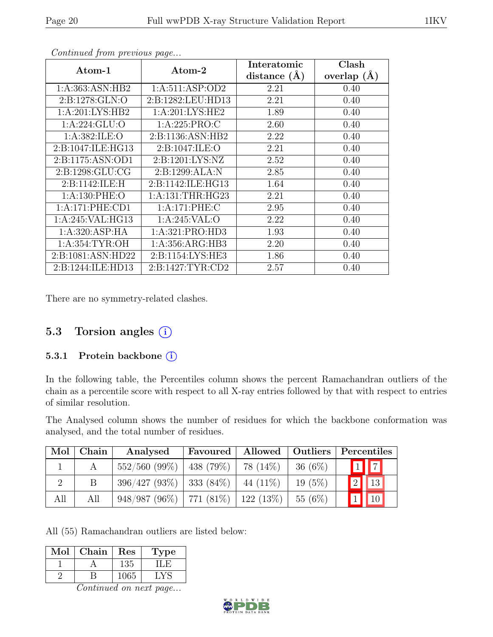| Atom-1              | Atom-2               | Interatomic      | Clash         |
|---------------------|----------------------|------------------|---------------|
|                     |                      | distance $(\AA)$ | overlap $(A)$ |
| 1: A: 363: ASN: HB2 | 1:A:511:ASP:OD2      | 2.21             | 0.40          |
| 2: B: 1278: GLN:O   | 2:B:1282:LEU:HD13    | 2.21             | 0.40          |
| 1:A:201:LYS:HB2     | 1: A:201:LYS:HE2     | 1.89             | 0.40          |
| 1:A:224:GLU:O       | 1:A:225:PRO:C        | 2.60             | 0.40          |
| 1: A: 382: ILE: O   | 2:B:1136:ASN:HB2     | 2.22             | 0.40          |
| 2:B:1047:ILE:HG13   | 2: B: 1047: ILE: O   | 2.21             | 0.40          |
| 2:B:1175:ASN:OD1    | 2: B: 1201: LYS: NZ  | 2.52             | 0.40          |
| 2: B: 1298: GLU: CG | 2: B: 1299: ALA: N   | 2.85             | 0.40          |
| 2:B:1142:ILE:H      | 2:B:1142:ILE:HG13    | 1.64             | 0.40          |
| 1: A:130: PHE:O     | 1: A: 131: THR: HG23 | 2.21             | 0.40          |
| 1:A:171:PHE:CD1     | 1:A:171:PHE:C        | 2.95             | 0.40          |
| 1:A:245:VAL:HG13    | 1:A:245:VAL:O        | 2.22             | 0.40          |
| 1:A:320:ASP:HA      | 1:A:321:PRO:HD3      | 1.93             | 0.40          |
| 1: A:354:TYR:OH     | 1: A: 356: ARG: HB3  | 2.20             | 0.40          |
| 2:B:1081:ASN:HD22   | 2:B:1154:LYS:HE3     | 1.86             | 0.40          |
| 2:B:1244:ILE:HD13   | 2:B:1427:TYR:CD2     | 2.57             | 0.40          |

There are no symmetry-related clashes.

### 5.3 Torsion angles (i)

#### 5.3.1 Protein backbone (i)

In the following table, the Percentiles column shows the percent Ramachandran outliers of the chain as a percentile score with respect to all X-ray entries followed by that with respect to entries of similar resolution.

The Analysed column shows the number of residues for which the backbone conformation was analysed, and the total number of residues.

| $\operatorname{Mol}$ | Chain | Analysed                                   | Favoured | Allowed   Outliers   Percentiles |           |             |                         |
|----------------------|-------|--------------------------------------------|----------|----------------------------------|-----------|-------------|-------------------------|
|                      |       | 552/560(99%)                               | 438(79%) | 78 (14%)                         | $36(6\%)$ | $\boxed{1}$ | $\overline{\mathbf{z}}$ |
|                      |       | $396/427$ (93\%)   333 (84\%)              |          | $44(11\%)$                       | 19(5%)    | $\boxed{2}$ | $\vert$ 13              |
| All                  | All   | $948/987 (96\%)$   771 (81\%)   122 (13\%) |          |                                  | 55(6%)    |             | 10                      |

All (55) Ramachandran outliers are listed below:

| 135<br>1065 | Mol | ${\rm Chain}$ | $\operatorname{Res}% \left( \mathcal{N}\right) \equiv\operatorname{Res}(\mathcal{N}_{0},\mathcal{N}_{0})$ | l'ype |
|-------------|-----|---------------|-----------------------------------------------------------------------------------------------------------|-------|
|             |     |               |                                                                                                           |       |
|             |     |               |                                                                                                           |       |

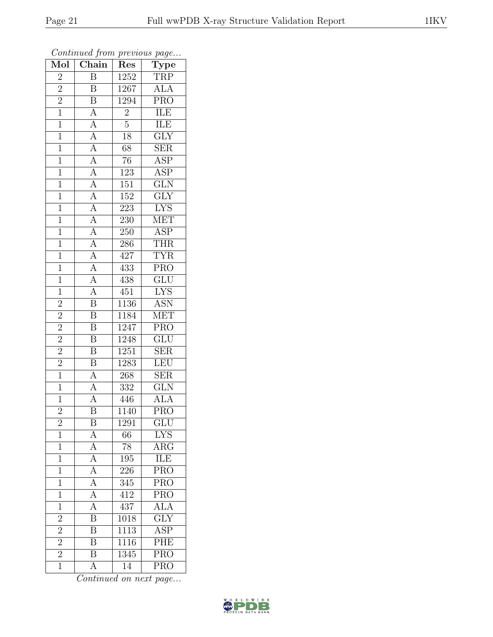| $\overline{\text{Mol}}$ | Chain                                                                                                                                                                                                                                                                      | Res               | Continuation from provided paga<br>$\mathrm{Type}$ |
|-------------------------|----------------------------------------------------------------------------------------------------------------------------------------------------------------------------------------------------------------------------------------------------------------------------|-------------------|----------------------------------------------------|
| $\overline{2}$          | $\overline{B}$                                                                                                                                                                                                                                                             | 1252              | <b>TRP</b>                                         |
| $\overline{2}$          | B                                                                                                                                                                                                                                                                          | $126\overline{7}$ | <b>ALA</b>                                         |
| $\overline{2}$          | $\overline{\mathbf{B}}$                                                                                                                                                                                                                                                    | 1294              | $\overline{\text{PRO}}$                            |
| $\mathbf{1}$            |                                                                                                                                                                                                                                                                            |                   | ILE                                                |
| $\overline{1}$          |                                                                                                                                                                                                                                                                            | $\frac{2}{5}$     | <b>ILE</b>                                         |
| $\mathbf{1}$            |                                                                                                                                                                                                                                                                            | $18\,$            | $\overline{\text{GLY}}$                            |
| $\overline{1}$          |                                                                                                                                                                                                                                                                            | 68                | $\overline{\text{SER}}$                            |
| $\overline{1}$          |                                                                                                                                                                                                                                                                            | $\overline{76}$   | $\overline{\text{ASP}}$                            |
| $\mathbf{1}$            |                                                                                                                                                                                                                                                                            | 123               | $\overline{\text{ASP}}$                            |
| $\mathbf{1}$            |                                                                                                                                                                                                                                                                            | 151               | $\overline{\text{GLN}}$                            |
| $\overline{1}$          |                                                                                                                                                                                                                                                                            | $152\,$           | $\overline{\text{GLY}}$                            |
| $\overline{1}$          |                                                                                                                                                                                                                                                                            | 223               | $\overline{\text{LYS}}$                            |
| $\overline{1}$          |                                                                                                                                                                                                                                                                            | 230               | <b>MET</b>                                         |
| $\mathbf{1}$            |                                                                                                                                                                                                                                                                            | 250               | $\overline{\text{ASP}}$                            |
| $\overline{1}$          | $\frac{\overline{A}}{\overline{A}}\frac{\overline{A}}{\overline{A}}\frac{\overline{A}}{\overline{A}}\frac{\overline{A}}{\overline{A}}\frac{\overline{A}}{\overline{A}}\frac{\overline{A}}{\overline{A}}\frac{\overline{A}}{\overline{A}}\frac{\overline{A}}{\overline{A}}$ | 286               | <b>THR</b>                                         |
| $\mathbf{1}$            |                                                                                                                                                                                                                                                                            | 427               | $\overline{\text{TYR}}$                            |
| $\overline{1}$          |                                                                                                                                                                                                                                                                            | 433               | <b>PRO</b>                                         |
| $\mathbf{1}$            |                                                                                                                                                                                                                                                                            | $\overline{438}$  | GLU                                                |
| $\overline{1}$          |                                                                                                                                                                                                                                                                            | 451               | <b>LYS</b>                                         |
| $\overline{2}$          | $\overline{B}$                                                                                                                                                                                                                                                             | 1136              | <b>ASN</b>                                         |
| $\overline{2}$          | $\overline{\mathbf{B}}$                                                                                                                                                                                                                                                    | <sup>1184</sup>   | <b>MET</b>                                         |
| $\overline{2}$          | $\overline{\mathrm{B}}$                                                                                                                                                                                                                                                    | 1247              | $\overline{\text{PRO}}$                            |
| $\overline{2}$          | $\overline{\mathrm{B}}$                                                                                                                                                                                                                                                    | 1248              | GLU                                                |
| $\overline{2}$          | $\overline{\mathrm{B}}$                                                                                                                                                                                                                                                    | 1251              | $\overline{\text{SER}}$                            |
|                         | $\overline{B}$                                                                                                                                                                                                                                                             | 1283              | <b>LEU</b>                                         |
| $\frac{2}{1}$           | $\overline{A}$                                                                                                                                                                                                                                                             | $268\,$           | SER                                                |
| $\overline{1}$          |                                                                                                                                                                                                                                                                            | $\overline{332}$  | GLN                                                |
| $\mathbf{1}$            | $\frac{\overline{A}}{\overline{A}}$                                                                                                                                                                                                                                        | 446               | <b>ALA</b>                                         |
| $\overline{2}$          | $\overline{\mathrm{B}}$                                                                                                                                                                                                                                                    | 1140              | $\overline{\text{PRO}}$                            |
| $\overline{2}$          | Β                                                                                                                                                                                                                                                                          | 1291              | GLU                                                |
| $\mathbf 1$             | $\overline{A}$                                                                                                                                                                                                                                                             | 66                | <b>LYS</b>                                         |
| $\mathbf 1$             |                                                                                                                                                                                                                                                                            | $\overline{78}$   | $\overline{\rm{ARG}}$                              |
| $\mathbf 1$             | $\frac{\overline{A}}{\overline{A}}$                                                                                                                                                                                                                                        | $195\,$           | ILE                                                |
| $\mathbf{1}$            |                                                                                                                                                                                                                                                                            | $226\,$           | $\overline{\text{PRO}}$                            |
| $\mathbf 1$             |                                                                                                                                                                                                                                                                            | 345               | $\overline{\text{PRO}}$                            |
| $\overline{1}$          | $\frac{\overline{A}}{\overline{A}}$                                                                                                                                                                                                                                        | 412               | <b>PRO</b>                                         |
| $\overline{1}$          | $\overline{A}$                                                                                                                                                                                                                                                             | 437               | <b>ALA</b>                                         |
| $\overline{c}$          | $\overline{\mathbf{B}}$                                                                                                                                                                                                                                                    | 1018              | $\overline{\text{GLY}}$                            |
| $\overline{2}$          | $\overline{B}$                                                                                                                                                                                                                                                             | $\overline{1113}$ | $\overline{\text{ASP}}$                            |
| $\overline{2}$          | $\overline{\mathrm{B}}$                                                                                                                                                                                                                                                    | $\overline{11}16$ | PHE                                                |
| $\overline{2}$          | $\overline{\mathrm{B}}$                                                                                                                                                                                                                                                    | 1345              | $\overline{\text{PRO}}$                            |
| $\overline{1}$          | $\overline{\rm A}$                                                                                                                                                                                                                                                         | 14                | $\overline{\text{PRO}}$                            |
|                         |                                                                                                                                                                                                                                                                            |                   |                                                    |

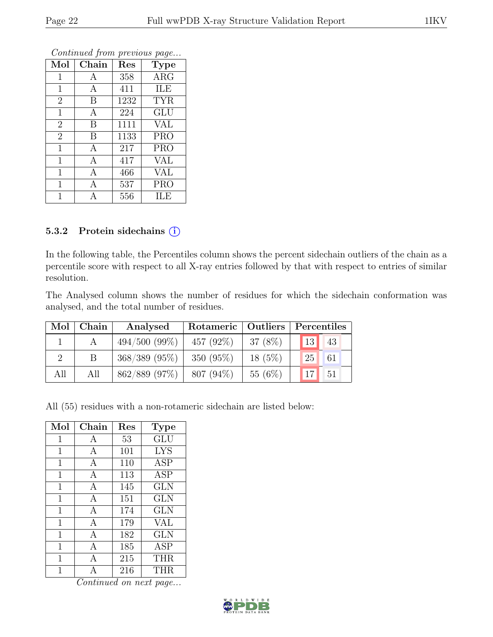|                |       | ≖    |             |
|----------------|-------|------|-------------|
| Mol            | Chain | Res  | <b>Type</b> |
| $\mathbf 1$    | А     | 358  | <b>ARG</b>  |
| $\mathbf{1}$   | А     | 411  | ILE         |
| $\overline{2}$ | B     | 1232 | <b>TYR</b>  |
| $\mathbf{1}$   | A     | 224  | <b>GLU</b>  |
| $\overline{2}$ | B     | 1111 | <b>VAL</b>  |
| $\overline{2}$ | B     | 1133 | <b>PRO</b>  |
| $\mathbf{1}$   | А     | 217  | <b>PRO</b>  |
| $\mathbf{1}$   | А     | 417  | VAL         |
| $\mathbf 1$    | A     | 466  | VAL         |
| $\overline{1}$ | A     | 537  | <b>PRO</b>  |
|                |       | 556  | ILE         |

#### 5.3.2 Protein sidechains (i)

In the following table, the Percentiles column shows the percent sidechain outliers of the chain as a percentile score with respect to all X-ray entries followed by that with respect to entries of similar resolution.

The Analysed column shows the number of residues for which the sidechain conformation was analysed, and the total number of residues.

|     | $Mol$   Chain | Analysed         | Rotameric   Outliers   Percentiles |           |         |    |  |
|-----|---------------|------------------|------------------------------------|-----------|---------|----|--|
|     |               | $494/500(99\%)$  | 457 $(92\%)$                       | $37(8\%)$ | 13      | 43 |  |
|     |               | $368/389$ (95\%) | $350(95\%)$                        | $18(5\%)$ | $125$ . | 61 |  |
| All | All           | 862/889 (97%)    | $807(94\%)$                        | 55 $(6%)$ | $17$ 51 |    |  |

All (55) residues with a non-rotameric sidechain are listed below:

| Mol         | Chain        | Res | <b>Type</b> |
|-------------|--------------|-----|-------------|
| 1           | А            | 53  | GLU         |
| 1           | A            | 101 | <b>LYS</b>  |
| 1           | A            | 110 | <b>ASP</b>  |
| $\mathbf 1$ | $\mathbf{A}$ | 113 | <b>ASP</b>  |
| $\mathbf 1$ | А            | 145 | <b>GLN</b>  |
| $\mathbf 1$ | A            | 151 | <b>GLN</b>  |
| $\mathbf 1$ | $\mathbf{A}$ | 174 | <b>GLN</b>  |
| 1           | A            | 179 | VAL         |
| 1           | A            | 182 | <b>GLN</b>  |
| 1           | A            | 185 | <b>ASP</b>  |
| $\mathbf 1$ | A            | 215 | <b>THR</b>  |
| 1           | А            | 216 | <b>THR</b>  |

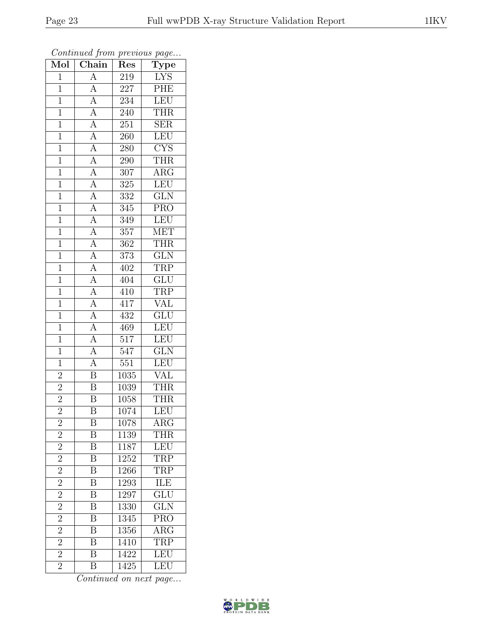| $\overline{\text{Mol}}$ | Chain                               | Res              | contenuou prom procto do pago<br>${\rm \bf Type}$ |
|-------------------------|-------------------------------------|------------------|---------------------------------------------------|
| $\mathbf{1}$            | $\overline{A}$                      | 219              | <b>LYS</b>                                        |
| $\mathbf{1}$            | $\overline{A}$                      | 227              | PHE                                               |
| $\overline{1}$          | $\overline{A}$                      | 234              | LEU                                               |
| $\mathbf{1}$            |                                     | 240              | <b>THR</b>                                        |
| $\mathbf 1$             | $\frac{\overline{A}}{\overline{A}}$ | 251              | SER                                               |
| $\mathbf{1}$            | $\overline{A}$                      | 260              | LEU                                               |
| $\overline{1}$          | $\overline{A}$                      | 280              | $\overline{\text{C} \text{YS}}$                   |
| $\mathbf{1}$            |                                     | 290              | <b>THR</b>                                        |
| $\mathbf{1}$            | $\frac{\overline{A}}{\overline{A}}$ | 307              | $\rm{ARG}$                                        |
| $\overline{1}$          |                                     | $\overline{325}$ | LEU                                               |
| $\mathbf{1}$            | $\overline{A}$                      | 332              | $\overline{\text{GLN}}$                           |
| $\overline{1}$          | $\overline{A}$                      | 345              | $\overline{\text{PRO}}$                           |
| $\overline{1}$          |                                     | 349              | LEU                                               |
| $\mathbf 1$             | $\frac{A}{A}$                       | 357              | <b>MET</b>                                        |
| $\mathbf{1}$            | $\overline{A}$                      | 362              | <b>THR</b>                                        |
| $\overline{1}$          | $\overline{A}$                      | 373              | $\overline{\text{GLN}}$                           |
| $\overline{1}$          |                                     | 402              | <b>TRP</b>                                        |
| $\mathbf{1}$            | $\frac{\overline{A}}{\overline{A}}$ | 404              | $\overline{\text{GLU}}$                           |
| $\mathbf{1}$            | $\overline{A}$                      | 410              | TRP                                               |
| $\mathbf{1}$            | $\overline{A}$                      | 417              | <b>VAL</b>                                        |
| $\mathbf{1}$            | $\overline{A}$                      | 432              | $\overline{\text{GLU}}$                           |
| $\overline{1}$          | $\overline{A}$                      | 469              | LEU                                               |
| $\mathbf{1}$            | $\frac{\overline{A}}{\overline{A}}$ | 517              | <b>LEU</b>                                        |
| $\mathbf{1}$            |                                     | 547              | $\overline{\text{GLN}}$                           |
| $\mathbf{1}$            | $\overline{A}$                      | 551              | LEU                                               |
| $\overline{2}$          | $\overline{\mathrm{B}}$             | 1035             | <b>VAL</b>                                        |
| $\overline{2}$          | $\overline{\mathrm{B}}$             | 1039             | <b>THR</b>                                        |
| $\overline{2}$          | $\bar{\text{B}}$                    | 1058             | <b>THR</b>                                        |
| $\overline{2}$          | $\overline{\mathrm{B}}$             | 1074             | LEU                                               |
| $\overline{c}$          | Β                                   | 1078             | $\rm{ARG}$                                        |
| $\overline{2}$          | $\overline{\rm B}$                  | 1139             | <b>THR</b>                                        |
| $\overline{2}$          | Β                                   | 1187             | LEU                                               |
| $\frac{2}{2}$           | $\overline{\mathrm{B}}$             | 1252             | <b>TRP</b>                                        |
|                         | $\overline{\mathrm{B}}$             | 1266             | <b>TRP</b>                                        |
| $\overline{2}$          | B                                   | 1293             | ILE                                               |
| $\overline{2}$          | $\overline{\mathrm{B}}$             | 1297             | $\overline{\text{GLU}}$                           |
| $\overline{2}$          | $\overline{\mathrm{B}}$             | 1330             | $\overline{\text{GLN}}$                           |
| $\overline{c}$          | $\overline{\mathrm{B}}$             | 1345             | PRO                                               |
| $\overline{2}$          | $\overline{\mathrm{B}}$             | 1356             | $\overline{\text{ARG}}$                           |
| $\overline{2}$          | $\overline{\mathrm{B}}$             | 1410             | TRP                                               |
| $\overline{2}$          | $\overline{\mathrm{B}}$             | 1422             | LEU                                               |
| $\overline{2}$          | Β                                   | 1425             | LEU                                               |

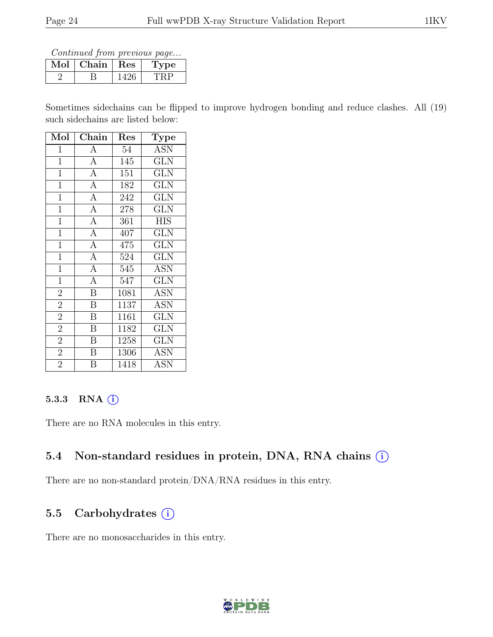Continued from previous page...

| Chain | Res | $\mathbf{p}$ |
|-------|-----|--------------|
|       |     |              |

Sometimes sidechains can be flipped to improve hydrogen bonding and reduce clashes. All (19) such sidechains are listed below:

| Mol            | Chain                   | Res  | <b>Type</b>             |
|----------------|-------------------------|------|-------------------------|
| $\mathbf 1$    | $\overline{A}$          | 54   | $\overline{A}$ SN       |
| $\mathbf{1}$   | $\overline{A}$          | 145  | GLN                     |
| $\mathbf{1}$   | $\overline{A}$          | 151  | <b>GLN</b>              |
| $\mathbf{1}$   | $\overline{A}$          | 182  | <b>GLN</b>              |
| $\overline{1}$ | $\overline{A}$          | 242  | <b>GLN</b>              |
| $\mathbf{1}$   | $\overline{A}$          | 278  | $\overline{\text{GLN}}$ |
| $\mathbf{1}$   | $\overline{A}$          | 361  | <b>HIS</b>              |
| $\overline{1}$ | $\overline{A}$          | 407  | <b>GLN</b>              |
| $\mathbf{1}$   | $\overline{A}$          | 475  | <b>GLN</b>              |
| $\mathbf{1}$   | $\overline{A}$          | 524  | <b>GLN</b>              |
| $\overline{1}$ | $\overline{A}$          | 545  | <b>ASN</b>              |
| $\overline{1}$ | $\overline{A}$          | 547  | <b>GLN</b>              |
| $\overline{2}$ | $\overline{\mathrm{B}}$ | 1081 | <b>ASN</b>              |
| $\overline{2}$ | B                       | 1137 | <b>ASN</b>              |
| $\overline{2}$ | $\overline{\mathrm{B}}$ | 1161 | $\overline{\text{GLN}}$ |
| $\overline{2}$ | $\overline{\mathbf{B}}$ | 1182 | <b>GLN</b>              |
| $\overline{2}$ | $\boldsymbol{B}$        | 1258 | <b>GLN</b>              |
| $\overline{2}$ | $\overline{\mathrm{B}}$ | 1306 | ASN                     |
| $\overline{2}$ | B                       | 1418 | <b>ASN</b>              |

#### 5.3.3 RNA  $(i)$

There are no RNA molecules in this entry.

### 5.4 Non-standard residues in protein, DNA, RNA chains  $(i)$

There are no non-standard protein/DNA/RNA residues in this entry.

### 5.5 Carbohydrates  $(i)$

There are no monosaccharides in this entry.

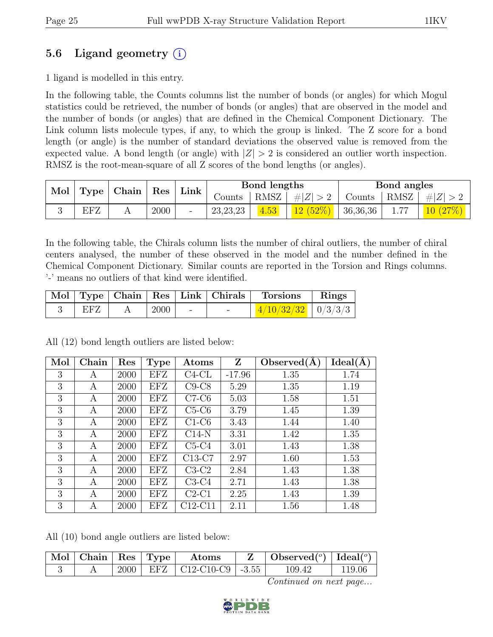# 5.6 Ligand geometry  $(i)$

1 ligand is modelled in this entry.

In the following table, the Counts columns list the number of bonds (or angles) for which Mogul statistics could be retrieved, the number of bonds (or angles) that are observed in the model and the number of bonds (or angles) that are defined in the Chemical Component Dictionary. The Link column lists molecule types, if any, to which the group is linked. The Z score for a bond length (or angle) is the number of standard deviations the observed value is removed from the expected value. A bond length (or angle) with  $|Z| > 2$  is considered an outlier worth inspection. RMSZ is the root-mean-square of all Z scores of the bond lengths (or angles).

| Mol | <b>Type</b> | Chain |      |                          |            |      | Res     | Link     | Bond lengths |        |  | Bond angles |  |  |
|-----|-------------|-------|------|--------------------------|------------|------|---------|----------|--------------|--------|--|-------------|--|--|
|     |             |       |      |                          | Counts     | RMSZ | # Z     | Counts   | RMSZ         | Z<br># |  |             |  |  |
|     | EFZ         |       | 2000 | $\overline{\phantom{a}}$ | 23, 23, 23 | 4.53 | 12(52%) | 36,36,36 | 1.77         | 10 /   |  |             |  |  |

In the following table, the Chirals column lists the number of chiral outliers, the number of chiral centers analysed, the number of these observed in the model and the number defined in the Chemical Component Dictionary. Similar counts are reported in the Torsion and Rings columns. '-' means no outliers of that kind were identified.

|     |      |  | Mol   Type   Chain   Res   Link   Chirals   Torsions   Rings |  |
|-----|------|--|--------------------------------------------------------------|--|
| EFZ | 2000 |  | $\left  \frac{4/10/32/32}{4} \right $ 0/3/3/3                |  |

All (12) bond length outliers are listed below:

| Mol | Chain | Res  | <b>Type</b> | Atoms    | $\mathbf{Z}$ | Observed(A) | Ideal(A) |
|-----|-------|------|-------------|----------|--------------|-------------|----------|
| 3   | А     | 2000 | EFZ         | $C4-CL$  | $-17.96$     | 1.35        | 1.74     |
| 3   | A     | 2000 | EFZ         | $C9-C8$  | 5.29         | 1.35        | 1.19     |
| 3   | A     | 2000 | EFZ         | $C7-C6$  | 5.03         | 1.58        | 1.51     |
| 3   | A     | 2000 | EFZ         | $C5-C6$  | 3.79         | 1.45        | 1.39     |
| 3   | A     | 2000 | EFZ         | $C1-C6$  | 3.43         | 1.44        | 1.40     |
| 3   | A     | 2000 | EFZ         | $C14-N$  | 3.31         | 1.42        | 1.35     |
| 3   | A     | 2000 | EFZ         | $C5-C4$  | 3.01         | 1.43        | 1.38     |
| 3   | A     | 2000 | EFZ         | $C13-C7$ | 2.97         | 1.60        | 1.53     |
| 3   | А     | 2000 | EFZ         | $C3-C2$  | 2.84         | 1.43        | 1.38     |
| 3   | А     | 2000 | EFZ         | $C3-C4$  | 2.71         | 1.43        | 1.38     |
| 3   | A     | 2000 | EFZ         | $C2-C1$  | 2.25         | 1.43        | 1.39     |
| 3   | А     | 2000 | EFZ         | C12-C11  | 2.11         | 1.56        | 1.48     |

All (10) bond angle outliers are listed below:

|  |  | $\mid$ Mol $\mid$ Chain $\mid$ Res $\mid$ Type $\mid$ Atoms | $\mid$ Observed $({}^o)$ $\mid$ Ideal $({}^o)$ |        |
|--|--|-------------------------------------------------------------|------------------------------------------------|--------|
|  |  | 2000   EFZ   C12-C10-C9   -3.55                             | 109.42                                         | 119.06 |

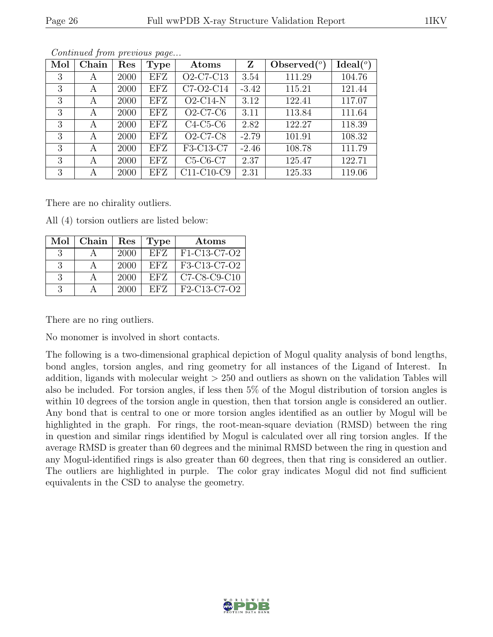|--|

| Mol | Chain | Res  | <b>Type</b> | Atoms                                           | Z       | Observed $(°)$ | Ideal $(°)$ |
|-----|-------|------|-------------|-------------------------------------------------|---------|----------------|-------------|
| 3   | A     | 2000 | <b>EFZ</b>  | O <sub>2</sub> -C <sub>7</sub> -C <sub>13</sub> | 3.54    | 111.29         | 104.76      |
| 3   | А     | 2000 | EFZ         | C7-O2-C14                                       | $-3.42$ | 115.21         | 121.44      |
| 3   | A     | 2000 | EFZ         | $O2-C14-N$                                      | 3.12    | 122.41         | 117.07      |
| 3   | А     | 2000 | EFZ         | $O2-C7-C6$                                      | 3.11    | 113.84         | 111.64      |
| 3   | А     | 2000 | EFZ         | $C4-C5-C6$                                      | 2.82    | 122.27         | 118.39      |
| 3   | А     | 2000 | EFZ         | $O2-C7-C8$                                      | $-2.79$ | 101.91         | 108.32      |
| 3   | А     | 2000 | <b>EFZ</b>  | F3-C13-C7                                       | $-2.46$ | 108.78         | 111.79      |
| 3   | А     | 2000 | EFZ         | $C5-C6-C7$                                      | 2.37    | 125.47         | 122.71      |
| 3   | А     | 2000 | EFZ         | $\overline{C}$ 11-C10-C9                        | 2.31    | 125.33         | 119.06      |

There are no chirality outliers.

All (4) torsion outliers are listed below:

| Mol | Chain | Res  | Type       | Atoms          |
|-----|-------|------|------------|----------------|
| -3  |       | 2000 | <b>EFZ</b> | F1-C13-C7-O2   |
| 3   |       | 2000 | <b>EFZ</b> | F3-C13-C7-O2   |
| -3  |       | 2000 | <b>EFZ</b> | $C7-C8-C9-C10$ |
| 3   |       | 2000 | EFZ        | F2-C13-C7-O2   |

There are no ring outliers.

No monomer is involved in short contacts.

The following is a two-dimensional graphical depiction of Mogul quality analysis of bond lengths, bond angles, torsion angles, and ring geometry for all instances of the Ligand of Interest. In addition, ligands with molecular weight > 250 and outliers as shown on the validation Tables will also be included. For torsion angles, if less then 5% of the Mogul distribution of torsion angles is within 10 degrees of the torsion angle in question, then that torsion angle is considered an outlier. Any bond that is central to one or more torsion angles identified as an outlier by Mogul will be highlighted in the graph. For rings, the root-mean-square deviation (RMSD) between the ring in question and similar rings identified by Mogul is calculated over all ring torsion angles. If the average RMSD is greater than 60 degrees and the minimal RMSD between the ring in question and any Mogul-identified rings is also greater than 60 degrees, then that ring is considered an outlier. The outliers are highlighted in purple. The color gray indicates Mogul did not find sufficient equivalents in the CSD to analyse the geometry.

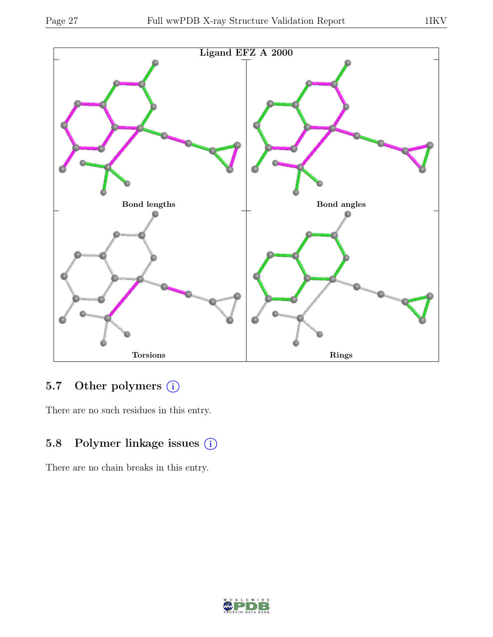

# 5.7 Other polymers (i)

There are no such residues in this entry.

# 5.8 Polymer linkage issues (i)

There are no chain breaks in this entry.

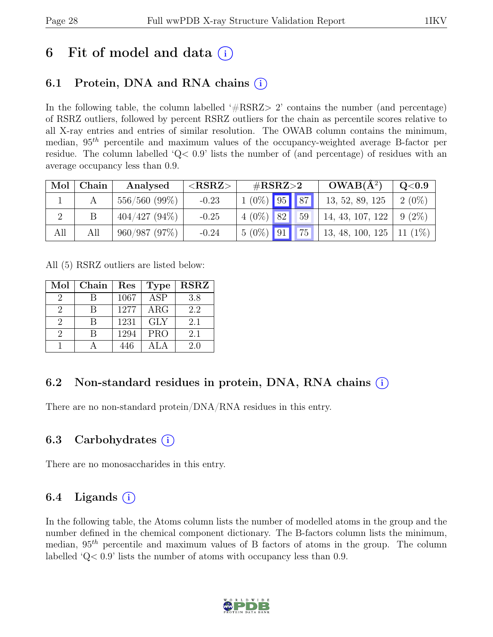# 6 Fit of model and data  $(i)$

# 6.1 Protein, DNA and RNA chains  $(i)$

In the following table, the column labelled  $#RSRZ>2$  contains the number (and percentage) of RSRZ outliers, followed by percent RSRZ outliers for the chain as percentile scores relative to all X-ray entries and entries of similar resolution. The OWAB column contains the minimum, median,  $95<sup>th</sup>$  percentile and maximum values of the occupancy-weighted average B-factor per residue. The column labelled ' $Q<.9$ ' lists the number of (and percentage) of residues with an average occupancy less than 0.9.

| Mol | Chain | Analysed        | ${ <\hspace{-1.5pt} {\rm RSRZ}\hspace{-1.5pt}>}$ | $\#\text{RSRZ}\text{>2}$ | $OWAB(A^2)$      | Q <sub>0.9</sub> |
|-----|-------|-----------------|--------------------------------------------------|--------------------------|------------------|------------------|
|     |       | $556/560(99\%)$ | $-0.23$                                          | $1(0\%)$ 95 87           | 13, 52, 89, 125  | $2(0\%)$         |
|     |       | $404/427(94\%)$ | $-0.25$                                          | $4(0\%)$ 82<br>59        | 14, 43, 107, 122 | $9(2\%)$         |
| All | All   | 960/987(97%)    | $-0.24$                                          | $5(0\%)$ 91 75           | 13, 48, 100, 125 | 11(1%)           |

All (5) RSRZ outliers are listed below:

| Mol | Chain | Res  | <b>Type</b>             | <b>RSRZ</b> |
|-----|-------|------|-------------------------|-------------|
| 2   |       | 1067 | $\overline{\text{ASP}}$ | 3.8         |
| 2   |       | 1277 | ARG                     | 2.2         |
| 9   |       | 1231 | <b>GLY</b>              | 2.1         |
| 2   |       | 1294 | <b>PRO</b>              | 2.1         |
|     |       | 446  |                         | 2.0         |

## 6.2 Non-standard residues in protein, DNA, RNA chains (i)

There are no non-standard protein/DNA/RNA residues in this entry.

## 6.3 Carbohydrates  $(i)$

There are no monosaccharides in this entry.

## 6.4 Ligands  $(i)$

In the following table, the Atoms column lists the number of modelled atoms in the group and the number defined in the chemical component dictionary. The B-factors column lists the minimum, median,  $95<sup>th</sup>$  percentile and maximum values of B factors of atoms in the group. The column labelled 'Q< 0.9' lists the number of atoms with occupancy less than 0.9.